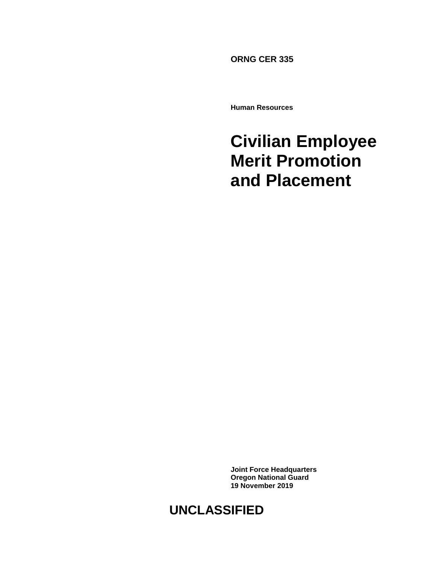**ORNG CER 335**

**Human Resources**

# **Civilian Employee Merit Promotion and Placement**

**Joint Force Headquarters Oregon National Guard 19 November 2019**

# **UNCLASSIFIED**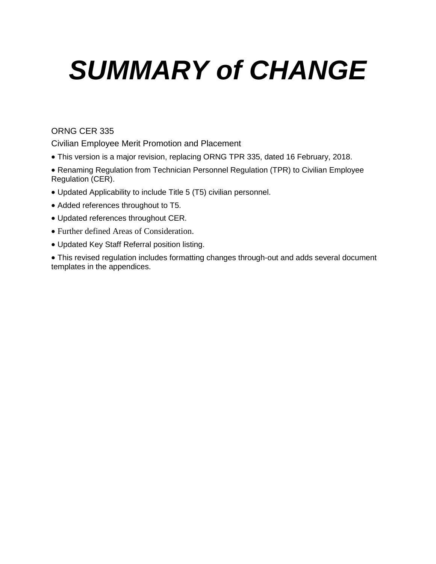# *SUMMARY of CHANGE*

#### ORNG CER 335

Civilian Employee Merit Promotion and Placement

- This version is a major revision, replacing ORNG TPR 335, dated 16 February, 2018.
- Renaming Regulation from Technician Personnel Regulation (TPR) to Civilian Employee Regulation (CER).
- Updated Applicability to include Title 5 (T5) civilian personnel.
- Added references throughout to T5.
- Updated references throughout CER.
- Further defined Areas of Consideration.
- Updated Key Staff Referral position listing.

 This revised regulation includes formatting changes through-out and adds several document templates in the appendices.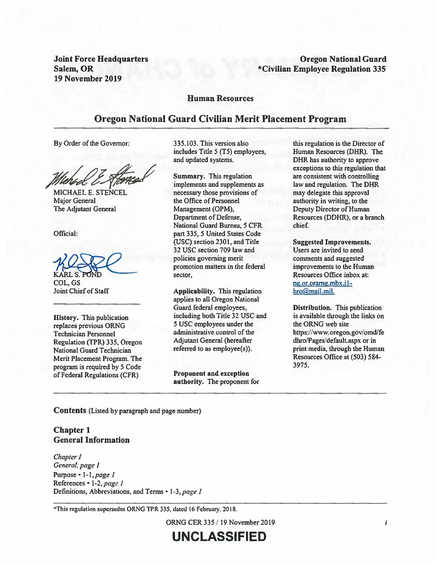Joint Force Headquarters Salem, OR 19 November 2019

#### **Oregon National Guard \*Civilian Employee Regulation 335**

#### **Human Resources**

#### **Oregon National Guard Civilian Merit Placement Program**

By Order of the Governor:

By Order of the Governor:<br>
in<br> *Michael E. STENCEL*<br>
MICHAEL E. STENCEL

MICHAELE. STENCEL Major General The Adjutant General

Official:

Joint Chief of Staff

**History.** This publication replaces previous ORNG Technician Personnel Regulation (TPR) 335, Oregon National Guard Technician Merit Placement Program. The program is required by *5* Code ofFederal Regulations (CFR)

335.103. This version also includes Title 5 (TS} employees, and updated systems.

The Augulant General<br>
Department of Do<br>
Department of Do<br>
National Guard E<br>
part 335, 5 Unite<br>
(USC) section 23<br>
32 USC section 7<br>
policies governin<br>
FKARL S. POND<br>
COL, GS<br>
Joint Chief of Staff<br>
Applicability. T **Summary.** This regulation implements and supplements as necessary those provisions of the Office of Personnel Management (OPM), Department of Defense, National Guard Bureau, *5* CFR part 335, *5* United States Code (USC) section 2301, and Title 32 USC section 709 law and policies governing merit promotion matters in the federal sector,

**Applicability.** This regulation applies to all Oregon National Guard federal employees, including both Title 32 USC and *5* USC employees under the administrative control of the Adjutant General (hereafter referred to as employee(s)).

**Proponent and exception authority. The** proponent for

this regulation is the Director of Human Resources (OHR). The OHR has authority to approve exceptions to this regulation that are consistent with controlling law and regulation. The OHR may delegate this approval authority in writing, to the Deputy Director of Human Resources (DDHR), or a branch chief.

**Suggested Improvements.**  Users are invited to send comments and suggested improvements to the Human Resources Office inbox at: ng.or.oramg.mbx.j lhro@mail.mil.

**Distribution.** This publication is available through the links on the ORNG web site https://www.oregon.gov/omd/fe dhro/Pages/defaultaspx or in print media, through the Human Resources Office at (503) 584- 3975.

**Contents** (Listed by paragraph and page number)

**Chapter 1 General Information** 

*Chapter/ General, page 1*  Purpose• *1-1,page 1*  References• *1-2,page* J Definitions, Abbreviations, and Terms • 1-3, page 1

\*This regulation supersedes ORNG TPR 335, dated 16 Februmy, 2018.

ORNG CER 335 / 19 November 2019

**UNCLASSIFIED**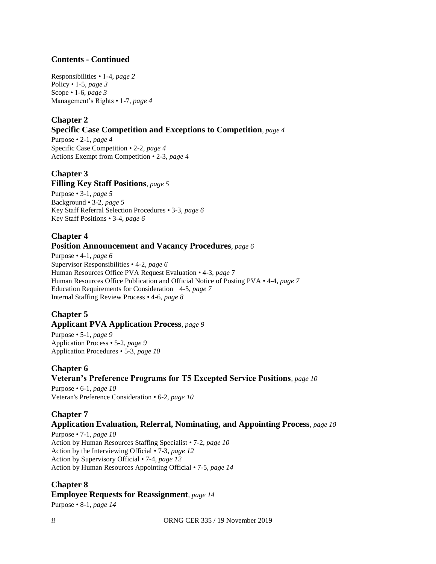#### **Contents - Continued**

Responsibilities • 1-4, *page 2* Policy • 1-5, *page 3* Scope • 1-6, *page 3* Management's Rights • 1-7, *page 4*

#### **Chapter 2**

#### **Specific Case Competition and Exceptions to Competition***, page 4*

Purpose • 2-1, *page 4* Specific Case Competition • 2-2, *page 4* Actions Exempt from Competition • 2-3, *page 4*

### **Chapter 3**

#### **Filling Key Staff Positions***, page 5*

Purpose • 3-1, *page 5* Background • 3-2, *page 5* Key Staff Referral Selection Procedures • 3-3, *page 6* Key Staff Positions • 3-4, *page 6*

#### **Chapter 4 Position Announcement and Vacancy Procedures***, page 6*

Purpose • 4-1, *page 6* Supervisor Responsibilities • 4-2, *page 6* Human Resources Office PVA Request Evaluation • 4-3, *page* 7 Human Resources Office Publication and Official Notice of Posting PVA • 4-4, *page 7* Education Requirements for Consideration 4-5, *page 7* Internal Staffing Review Process • 4-6, *page 8*

#### **Chapter 5 Applicant PVA Application Process***, page 9*

Purpose • 5-1, *page 9* Application Process • 5-2, *page 9* Application Procedures • 5-3, *page 10*

#### **Chapter 6 Veteran's Preference Programs for T5 Excepted Service Positions***, page 10*

Purpose • 6-1, *page 10* Veteran's Preference Consideration • 6-2, *page 10*

#### **Chapter 7 Application Evaluation, Referral, Nominating, and Appointing Process***, page 10*

Purpose • 7-1, *page 10* Action by Human Resources Staffing Specialist • 7-2, *page 10* Action by the Interviewing Official • 7-3, *page 12* Action by Supervisory Official • 7-4, *page 12* Action by Human Resources Appointing Official • 7-5, *page 14*

#### **Chapter 8**

**Employee Requests for Reassignment***, page 14*

Purpose • 8-1, *page 14*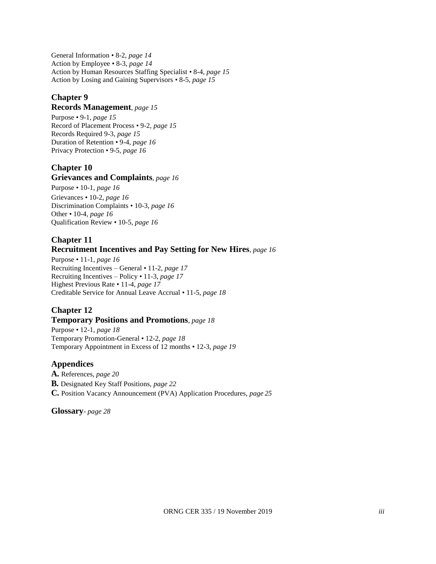General Information • 8-2, *page 14* Action by Employee • 8-3, *page 14* Action by Human Resources Staffing Specialist • 8-4, *page 15* Action by Losing and Gaining Supervisors • 8-5, *page 15*

#### **Chapter 9**

#### **Records Management***, page 15*

Purpose • 9-1, *page 15* Record of Placement Process • 9-2, *page 15* Records Required 9-3, *page 15* Duration of Retention • 9-4, *page 16* Privacy Protection • 9-5, *page 16*

#### **Chapter 10**

#### **Grievances and Complaints***, page 16*

Purpose • 10-1, *page 16* Grievances • 10-2, *page 16* Discrimination Complaints • 10-3, *page 16* Other • 10-4, *page 16* Qualification Review • 10-5, *page 16*

#### **Chapter 11 Recruitment Incentives and Pay Setting for New Hires***, page 16*

Purpose • 11-1, *page 16* Recruiting Incentives – General • 11-2, *page 17* Recruiting Incentives – Policy • 11-3, *page 17* Highest Previous Rate • 11-4, *page 17* Creditable Service for Annual Leave Accrual • 11-5, *page 18*

# **Chapter 12**

#### **Temporary Positions and Promotions***, page 18*

Purpose • 12-1, *page 18* Temporary Promotion-General • 12-2, *page 18* Temporary Appointment in Excess of 12 months • 12-3, *page 19*

#### **Appendices**

**A.** References, *page 20* **B.** Designated Key Staff Positions, *page 22* **C.** Position Vacancy Announcement (PVA) Application Procedures, *page 25*

**Glossary**- *page 28*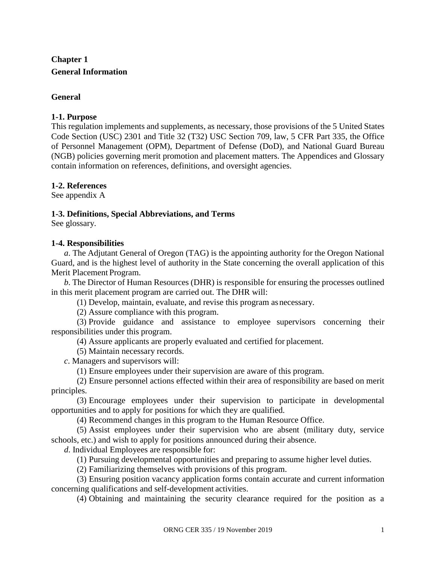## **Chapter 1 General Information**

#### **General**

#### **1-1. Purpose**

This regulation implements and supplements, as necessary, those provisions of the 5 United States Code Section (USC) 2301 and Title 32 (T32) USC Section 709, law, 5 CFR Part 335, the Office of Personnel Management (OPM), Department of Defense (DoD), and National Guard Bureau (NGB) policies governing merit promotion and placement matters. The Appendices and Glossary contain information on references, definitions, and oversight agencies.

#### **1-2. References**

See appendix A

#### **1-3. Definitions, Special Abbreviations, and Terms**

See glossary.

#### **1-4. Responsibilities**

*a*. The Adjutant General of Oregon (TAG) is the appointing authority for the Oregon National Guard, and is the highest level of authority in the State concerning the overall application of this Merit Placement Program.

*b*. The Director of Human Resources (DHR) is responsible for ensuring the processes outlined in this merit placement program are carried out. The DHR will:

(1) Develop, maintain, evaluate, and revise this program asnecessary.

(2) Assure compliance with this program.

(3) Provide guidance and assistance to employee supervisors concerning their responsibilities under this program.

(4) Assure applicants are properly evaluated and certified for placement.

(5) Maintain necessary records.

*c*. Managers and supervisors will:

(1) Ensure employees under their supervision are aware of this program.

(2) Ensure personnel actions effected within their area of responsibility are based on merit principles.

(3) Encourage employees under their supervision to participate in developmental opportunities and to apply for positions for which they are qualified.

(4) Recommend changes in this program to the Human Resource Office.

(5) Assist employees under their supervision who are absent (military duty, service schools, etc.) and wish to apply for positions announced during their absence.

*d*. Individual Employees are responsible for:

(1) Pursuing developmental opportunities and preparing to assume higher level duties.

(2) Familiarizing themselves with provisions of this program.

(3) Ensuring position vacancy application forms contain accurate and current information concerning qualifications and self-development activities.

(4) Obtaining and maintaining the security clearance required for the position as a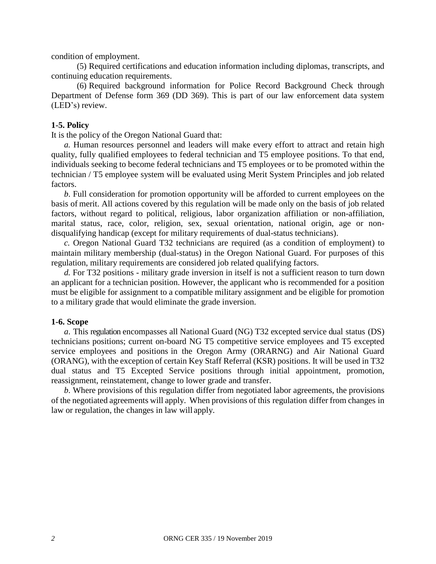condition of employment.

(5) Required certifications and education information including diplomas, transcripts, and continuing education requirements.

(6) Required background information for Police Record Background Check through Department of Defense form 369 (DD 369). This is part of our law enforcement data system (LED's) review.

#### **1-5. Policy**

It is the policy of the Oregon National Guard that:

*a.* Human resources personnel and leaders will make every effort to attract and retain high quality, fully qualified employees to federal technician and T5 employee positions. To that end, individuals seeking to become federal technicians and T5 employees or to be promoted within the technician / T5 employee system will be evaluated using Merit System Principles and job related factors.

*b*. Full consideration for promotion opportunity will be afforded to current employees on the basis of merit. All actions covered by this regulation will be made only on the basis of job related factors, without regard to political, religious, labor organization affiliation or non-affiliation, marital status, race, color, religion, sex, sexual orientation, national origin, age or nondisqualifying handicap (except for military requirements of dual-status technicians).

*c.* Oregon National Guard T32 technicians are required (as a condition of employment) to maintain military membership (dual-status) in the Oregon National Guard. For purposes of this regulation, military requirements are considered job related qualifying factors.

*d.* For T32 positions - military grade inversion in itself is not a sufficient reason to turn down an applicant for a technician position. However, the applicant who is recommended for a position must be eligible for assignment to a compatible military assignment and be eligible for promotion to a military grade that would eliminate the grade inversion.

#### **1-6. Scope**

*a*. This regulation encompasses all National Guard (NG) T32 excepted service dual status (DS) technicians positions; current on-board NG T5 competitive service employees and T5 excepted service employees and positions in the Oregon Army (ORARNG) and Air National Guard (ORANG), with the exception of certain Key Staff Referral (KSR) positions. It will be used in T32 dual status and T5 Excepted Service positions through initial appointment, promotion, reassignment, reinstatement, change to lower grade and transfer.

*b*. Where provisions of this regulation differ from negotiated labor agreements, the provisions of the negotiated agreements will apply. When provisions of this regulation differ from changes in law or regulation, the changes in law will apply.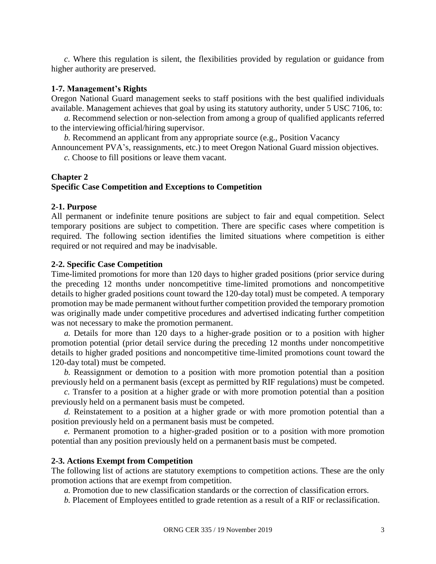*c*. Where this regulation is silent, the flexibilities provided by regulation or guidance from higher authority are preserved.

#### **1-7. Management's Rights**

Oregon National Guard management seeks to staff positions with the best qualified individuals available. Management achieves that goal by using its statutory authority, under 5 USC 7106, to:

*a.* Recommend selection or non-selection from among a group of qualified applicants referred to the interviewing official/hiring supervisor.

*b.* Recommend an applicant from any appropriate source (e.g., Position Vacancy

Announcement PVA's, reassignments, etc.) to meet Oregon National Guard mission objectives.

*c.* Choose to fill positions or leave them vacant.

#### **Chapter 2**

#### **Specific Case Competition and Exceptions to Competition**

#### **2-1. Purpose**

All permanent or indefinite tenure positions are subject to fair and equal competition. Select temporary positions are subject to competition. There are specific cases where competition is required. The following section identifies the limited situations where competition is either required or not required and may be inadvisable.

#### **2-2. Specific Case Competition**

Time-limited promotions for more than 120 days to higher graded positions (prior service during the preceding 12 months under noncompetitive time-limited promotions and noncompetitive details to higher graded positions count toward the 120-day total) must be competed. A temporary promotion may be made permanent without further competition provided the temporary promotion was originally made under competitive procedures and advertised indicating further competition was not necessary to make the promotion permanent.

*a.* Details for more than 120 days to a higher-grade position or to a position with higher promotion potential (prior detail service during the preceding 12 months under noncompetitive details to higher graded positions and noncompetitive time-limited promotions count toward the 120-day total) must be competed.

*b.* Reassignment or demotion to a position with more promotion potential than a position previously held on a permanent basis (except as permitted by RIF regulations) must be competed.

*c.* Transfer to a position at a higher grade or with more promotion potential than a position previously held on a permanent basis must be competed.

*d.* Reinstatement to a position at a higher grade or with more promotion potential than a position previously held on a permanent basis must be competed.

*e.* Permanent promotion to a higher-graded position or to a position with more promotion potential than any position previously held on a permanent basis must be competed.

#### **2-3. Actions Exempt from Competition**

The following list of actions are statutory exemptions to competition actions. These are the only promotion actions that are exempt from competition.

*a.* Promotion due to new classification standards or the correction of classification errors.

*b.* Placement of Employees entitled to grade retention as a result of a RIF or reclassification.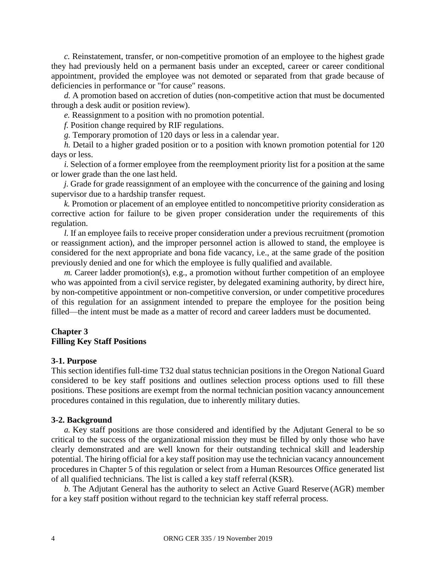*c.* Reinstatement, transfer, or non-competitive promotion of an employee to the highest grade they had previously held on a permanent basis under an excepted, career or career conditional appointment, provided the employee was not demoted or separated from that grade because of deficiencies in performance or "for cause" reasons.

*d.* A promotion based on accretion of duties (non-competitive action that must be documented through a desk audit or position review).

*e.* Reassignment to a position with no promotion potential.

*f.* Position change required by RIF regulations.

*g.* Temporary promotion of 120 days or less in a calendar year.

*h.* Detail to a higher graded position or to a position with known promotion potential for 120 days or less.

*i.* Selection of a former employee from the reemployment priority list for a position at the same or lower grade than the one last held.

*j.* Grade for grade reassignment of an employee with the concurrence of the gaining and losing supervisor due to a hardship transfer request.

*k.* Promotion or placement of an employee entitled to noncompetitive priority consideration as corrective action for failure to be given proper consideration under the requirements of this regulation.

*l.* If an employee fails to receive proper consideration under a previous recruitment (promotion or reassignment action), and the improper personnel action is allowed to stand, the employee is considered for the next appropriate and bona fide vacancy, i.e., at the same grade of the position previously denied and one for which the employee is fully qualified and available.

*m.* Career ladder promotion(s), e.g., a promotion without further competition of an employee who was appointed from a civil service register, by delegated examining authority, by direct hire, by non-competitive appointment or non-competitive conversion, or under competitive procedures of this regulation for an assignment intended to prepare the employee for the position being filled—the intent must be made as a matter of record and career ladders must be documented.

#### **Chapter 3 Filling Key Staff Positions**

#### **3-1. Purpose**

This section identifies full-time T32 dual status technician positions in the Oregon National Guard considered to be key staff positions and outlines selection process options used to fill these positions. These positions are exempt from the normal technician position vacancy announcement procedures contained in this regulation, due to inherently military duties.

#### **3-2. Background**

*a.* Key staff positions are those considered and identified by the Adjutant General to be so critical to the success of the organizational mission they must be filled by only those who have clearly demonstrated and are well known for their outstanding technical skill and leadership potential. The hiring official for a key staff position may use the technician vacancy announcement procedures in Chapter 5 of this regulation or select from a Human Resources Office generated list of all qualified technicians. The list is called a key staff referral (KSR).

*b.* The Adjutant General has the authority to select an Active Guard Reserve (AGR) member for a key staff position without regard to the technician key staff referral process.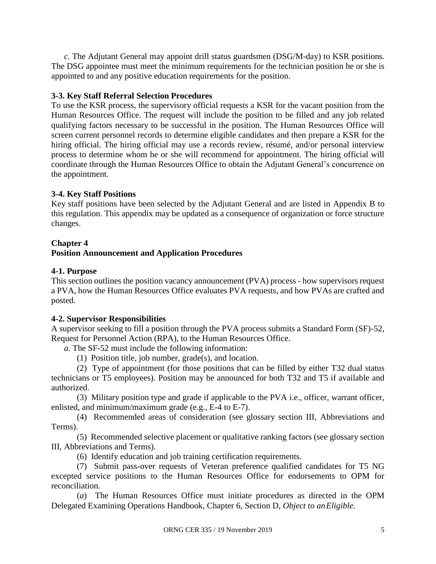*c.* The Adjutant General may appoint drill status guardsmen (DSG/M-day) to KSR positions. The DSG appointee must meet the minimum requirements for the technician position he or she is appointed to and any positive education requirements for the position.

#### **3-3. Key Staff Referral Selection Procedures**

To use the KSR process, the supervisory official requests a KSR for the vacant position from the Human Resources Office. The request will include the position to be filled and any job related qualifying factors necessary to be successful in the position. The Human Resources Office will screen current personnel records to determine eligible candidates and then prepare a KSR for the hiring official. The hiring official may use a records review, résumé, and/or personal interview process to determine whom he or she will recommend for appointment. The hiring official will coordinate through the Human Resources Office to obtain the Adjutant General's concurrence on the appointment.

#### **3-4. Key Staff Positions**

Key staff positions have been selected by the Adjutant General and are listed in Appendix B to this regulation. This appendix may be updated as a consequence of organization or force structure changes.

#### **Chapter 4**

#### **Position Announcement and Application Procedures**

#### **4-1. Purpose**

This section outlines the position vacancy announcement (PVA) process - how supervisors request a PVA, how the Human Resources Office evaluates PVA requests, and how PVAs are crafted and posted.

#### **4-2. Supervisor Responsibilities**

A supervisor seeking to fill a position through the PVA process submits a Standard Form (SF)-52, Request for Personnel Action (RPA), to the Human Resources Office.

*a*. The SF-52 must include the following information:

(1) Position title, job number, grade(s), and location.

(2) Type of appointment (for those positions that can be filled by either T32 dual status technicians or T5 employees). Position may be announced for both T32 and T5 if available and authorized.

(3) Military position type and grade if applicable to the PVA i.e., officer, warrant officer, enlisted, and minimum/maximum grade (e.g., E-4 to E-7).

(4) Recommended areas of consideration (see glossary section III, Abbreviations and Terms).

(5) Recommended selective placement or qualitative ranking factors (see glossary section III, Abbreviations and Terms).

(6) Identify education and job training certification requirements.

(7) Submit pass-over requests of Veteran preference qualified candidates for T5 NG excepted service positions to the Human Resources Office for endorsements to OPM for reconciliation.

(*a*) The Human Resources Office must initiate procedures as directed in the OPM Delegated Examining Operations Handbook, Chapter 6, Section D, *Object to anEligible*.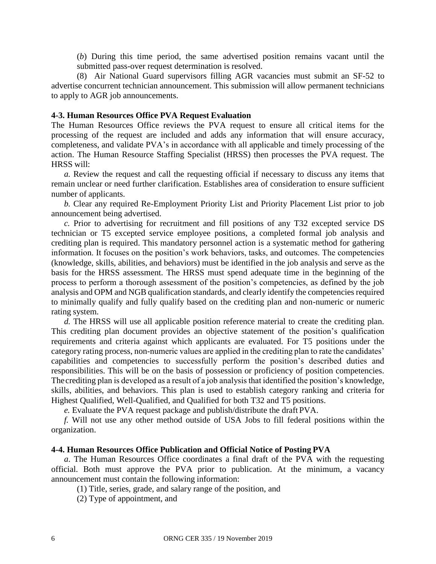(*b*) During this time period, the same advertised position remains vacant until the submitted pass-over request determination is resolved.

(8) Air National Guard supervisors filling AGR vacancies must submit an SF-52 to advertise concurrent technician announcement. This submission will allow permanent technicians to apply to AGR job announcements.

#### **4-3. Human Resources Office PVA Request Evaluation**

The Human Resources Office reviews the PVA request to ensure all critical items for the processing of the request are included and adds any information that will ensure accuracy, completeness, and validate PVA's in accordance with all applicable and timely processing of the action. The Human Resource Staffing Specialist (HRSS) then processes the PVA request. The HRSS will:

*a.* Review the request and call the requesting official if necessary to discuss any items that remain unclear or need further clarification. Establishes area of consideration to ensure sufficient number of applicants.

*b.* Clear any required Re-Employment Priority List and Priority Placement List prior to job announcement being advertised.

*c.* Prior to advertising for recruitment and fill positions of any T32 excepted service DS technician or T5 excepted service employee positions, a completed formal job analysis and crediting plan is required. This mandatory personnel action is a systematic method for gathering information. It focuses on the position's work behaviors, tasks, and outcomes. The competencies (knowledge, skills, abilities, and behaviors) must be identified in the job analysis and serve as the basis for the HRSS assessment. The HRSS must spend adequate time in the beginning of the process to perform a thorough assessment of the position's competencies, as defined by the job analysis and OPM and NGB qualification standards, and clearly identify the competencies required to minimally qualify and fully qualify based on the crediting plan and non-numeric or numeric rating system.

*d.* The HRSS will use all applicable position reference material to create the crediting plan. This crediting plan document provides an objective statement of the position's qualification requirements and criteria against which applicants are evaluated. For T5 positions under the category rating process, non-numeric values are applied in the crediting plan to rate the candidates' capabilities and competencies to successfully perform the position's described duties and responsibilities. This will be on the basis of possession or proficiency of position competencies. Thecrediting plan is developed as a result of a job analysis that identified the position's knowledge, skills, abilities, and behaviors. This plan is used to establish category ranking and criteria for Highest Qualified, Well-Qualified, and Qualified for both T32 and T5 positions.

*e.* Evaluate the PVA request package and publish/distribute the draft PVA.

*f.* Will not use any other method outside of USA Jobs to fill federal positions within the organization.

#### **4-4. Human Resources Office Publication and Official Notice of Posting PVA**

*a*. The Human Resources Office coordinates a final draft of the PVA with the requesting official. Both must approve the PVA prior to publication. At the minimum, a vacancy announcement must contain the following information:

(1) Title, series, grade, and salary range of the position, and

(2) Type of appointment, and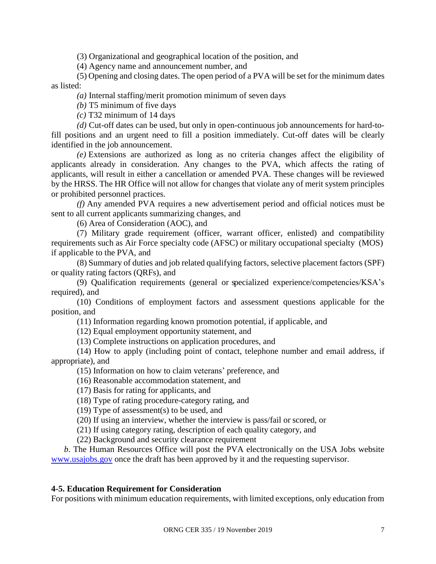(3) Organizational and geographical location of the position, and

(4) Agency name and announcement number, and

(5) Opening and closing dates. The open period of a PVA will be set for the minimum dates as listed:

*(a)* Internal staffing/merit promotion minimum of seven days

*(b)* T5 minimum of five days

*(c)* T32 minimum of 14 days

*(d)* Cut-off dates can be used, but only in open-continuous job announcements for hard-tofill positions and an urgent need to fill a position immediately. Cut-off dates will be clearly identified in the job announcement.

*(e)* Extensions are authorized as long as no criteria changes affect the eligibility of applicants already in consideration. Any changes to the PVA, which affects the rating of applicants, will result in either a cancellation or amended PVA. These changes will be reviewed by the HRSS. The HR Office will not allow for changes that violate any of merit system principles or prohibited personnel practices.

*(f)* Any amended PVA requires a new advertisement period and official notices must be sent to all current applicants summarizing changes, and

(6) Area of Consideration (AOC), and

(7) Military grade requirement (officer, warrant officer, enlisted) and compatibility requirements such as Air Force specialty code (AFSC) or military occupational specialty (MOS) if applicable to the PVA, and

(8) Summary of duties and job related qualifying factors, selective placement factors (SPF) or quality rating factors (QRFs), and

(9) Qualification requirements (general or specialized experience/competencies/KSA's required), and

(10) Conditions of employment factors and assessment questions applicable for the position, and

(11) Information regarding known promotion potential, if applicable, and

(12) Equal employment opportunity statement, and

(13) Complete instructions on application procedures, and

(14) How to apply (including point of contact, telephone number and email address, if appropriate), and

(15) Information on how to claim veterans' preference, and

(16) Reasonable accommodation statement, and

(17) Basis for rating for applicants, and

(18) Type of rating procedure-category rating, and

(19) Type of assessment(s) to be used, and

(20) If using an interview, whether the interview is pass/fail or scored, or

(21) If using category rating, description of each quality category, and

(22) Background and security clearance requirement

*b*. The Human Resources Office will post the PVA electronically on the USA Jobs website [www.usajobs.gov](http://www.usajobs.gov/) once the draft has been approved by it and the requesting supervisor.

#### **4-5. Education Requirement for Consideration**

For positions with minimum education requirements, with limited exceptions, only education from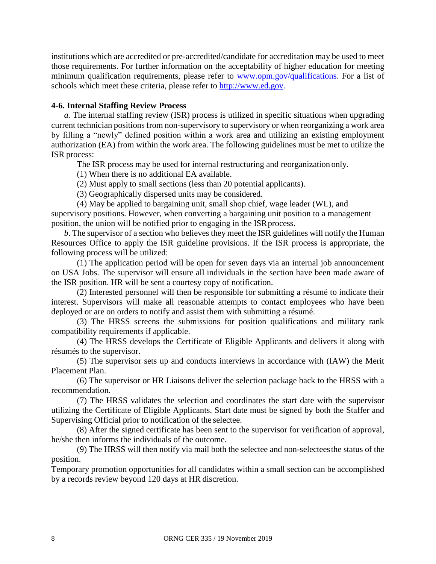institutions which are accredited or pre-accredited/candidate for accreditation may be used to meet those requirements. For further information on the acceptability of higher education for meeting minimum qualification requirements, please refer to [www.opm.gov/qualifications.](http://www.opm.gov/qualifications) For a list of schools which meet these criteria, please refer to [http://www.ed.gov.](http://www.ed.gov/)

#### **4-6. Internal Staffing Review Process**

*a.* The internal staffing review (ISR) process is utilized in specific situations when upgrading current technician positions from non-supervisory to supervisory or when reorganizing a work area by filling a "newly" defined position within a work area and utilizing an existing employment authorization (EA) from within the work area. The following guidelines must be met to utilize the ISR process:

The ISR process may be used for internal restructuring and reorganization only.

(1) When there is no additional EA available.

(2) Must apply to small sections (less than 20 potential applicants).

(3) Geographically dispersed units may be considered.

(4) May be applied to bargaining unit, small shop chief, wage leader (WL), and supervisory positions. However, when converting a bargaining unit position to a management position, the union will be notified prior to engaging in the ISR process.

*b*. The supervisor of a section who believes they meet the ISR guidelines will notify the Human Resources Office to apply the ISR guideline provisions. If the ISR process is appropriate, the following process will be utilized:

(1) The application period will be open for seven days via an internal job announcement on USA Jobs. The supervisor will ensure all individuals in the section have been made aware of the ISR position. HR will be sent a courtesy copy of notification.

(2) Interested personnel will then be responsible for submitting a résumé to indicate their interest. Supervisors will make all reasonable attempts to contact employees who have been deployed or are on orders to notify and assist them with submitting a résumé.

(3) The HRSS screens the submissions for position qualifications and military rank compatibility requirements if applicable.

(4) The HRSS develops the Certificate of Eligible Applicants and delivers it along with résumés to the supervisor.

(5) The supervisor sets up and conducts interviews in accordance with (IAW) the Merit Placement Plan.

(6) The supervisor or HR Liaisons deliver the selection package back to the HRSS with a recommendation.

(7) The HRSS validates the selection and coordinates the start date with the supervisor utilizing the Certificate of Eligible Applicants. Start date must be signed by both the Staffer and Supervising Official prior to notification of the selectee.

(8) After the signed certificate has been sent to the supervisor for verification of approval, he/she then informs the individuals of the outcome.

(9) The HRSS will then notify via mail both the selectee and non-selecteesthe status of the position.

Temporary promotion opportunities for all candidates within a small section can be accomplished by a records review beyond 120 days at HR discretion.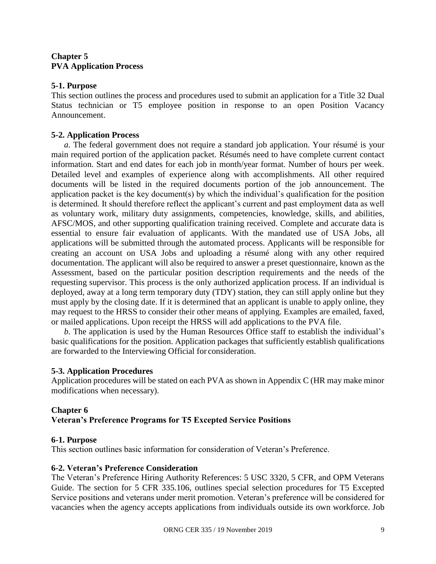#### **Chapter 5 PVA Application Process**

#### **5-1. Purpose**

This section outlines the process and procedures used to submit an application for a Title 32 Dual Status technician or T5 employee position in response to an open Position Vacancy Announcement.

#### **5-2. Application Process**

*a*. The federal government does not require a standard job application. Your résumé is your main required portion of the application packet. Résumés need to have complete current contact information. Start and end dates for each job in month/year format. Number of hours per week. Detailed level and examples of experience along with accomplishments. All other required documents will be listed in the required documents portion of the job announcement. The application packet is the key document(s) by which the individual's qualification for the position is determined. It should therefore reflect the applicant's current and past employment data as well as voluntary work, military duty assignments, competencies, knowledge, skills, and abilities, AFSC/MOS, and other supporting qualification training received. Complete and accurate data is essential to ensure fair evaluation of applicants. With the mandated use of USA Jobs, all applications will be submitted through the automated process. Applicants will be responsible for creating an account on USA Jobs and uploading a résumé along with any other required documentation. The applicant will also be required to answer a preset questionnaire, known as the Assessment, based on the particular position description requirements and the needs of the requesting supervisor. This process is the only authorized application process. If an individual is deployed, away at a long term temporary duty (TDY) station, they can still apply online but they must apply by the closing date. If it is determined that an applicant is unable to apply online, they may request to the HRSS to consider their other means of applying. Examples are emailed, faxed, or mailed applications. Upon receipt the HRSS will add applications to the PVA file.

*b*. The application is used by the Human Resources Office staff to establish the individual's basic qualifications for the position. Application packages that sufficiently establish qualifications are forwarded to the Interviewing Official for consideration.

#### **5-3. Application Procedures**

Application procedures will be stated on each PVA as shown in Appendix C (HR may make minor modifications when necessary).

#### **Chapter 6 Veteran's Preference Programs for T5 Excepted Service Positions**

#### **6-1. Purpose**

This section outlines basic information for consideration of Veteran's Preference.

#### **6-2. Veteran's Preference Consideration**

The Veteran's Preference Hiring Authority References: 5 USC 3320, 5 CFR, and OPM Veterans Guide. The section for 5 CFR 335.106, outlines special selection procedures for T5 Excepted Service positions and veterans under merit promotion. Veteran's preference will be considered for vacancies when the agency accepts applications from individuals outside its own workforce. Job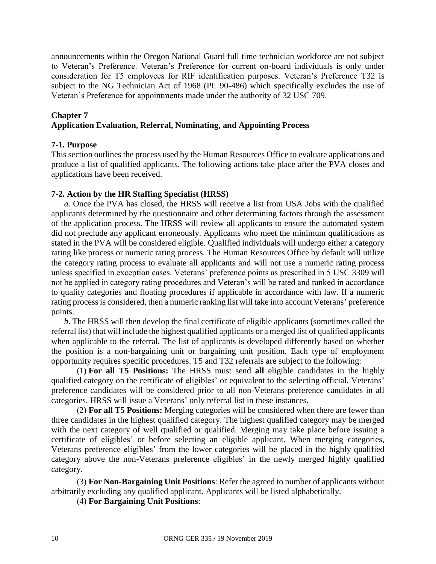announcements within the Oregon National Guard full time technician workforce are not subject to Veteran's Preference. Veteran's Preference for current on-board individuals is only under consideration for T5 employees for RIF identification purposes. Veteran's Preference T32 is subject to the NG Technician Act of 1968 (PL 90-486) which specifically excludes the use of Veteran's Preference for appointments made under the authority of 32 USC 709.

#### **Chapter 7 Application Evaluation, Referral, Nominating, and Appointing Process**

#### **7-1. Purpose**

This section outlines the process used by the Human Resources Office to evaluate applications and produce a list of qualified applicants. The following actions take place after the PVA closes and applications have been received.

#### **7-2. Action by the HR Staffing Specialist (HRSS)**

*a*. Once the PVA has closed, the HRSS will receive a list from USA Jobs with the qualified applicants determined by the questionnaire and other determining factors through the assessment of the application process. The HRSS will review all applicants to ensure the automated system did not preclude any applicant erroneously. Applicants who meet the minimum qualifications as stated in the PVA will be considered eligible. Qualified individuals will undergo either a category rating like process or numeric rating process. The Human Resources Office by default will utilize the category rating process to evaluate all applicants and will not use a numeric rating process unless specified in exception cases. Veterans' preference points as prescribed in 5 USC 3309 will not be applied in category rating procedures and Veteran's will be rated and ranked in accordance to quality categories and floating procedures if applicable in accordance with law. If a numeric rating process is considered, then a numeric ranking list will take into account Veterans' preference points.

*b*. The HRSS will then develop the final certificate of eligible applicants (sometimes called the referral list) that will include the highest qualified applicants or a merged list of qualified applicants when applicable to the referral. The list of applicants is developed differently based on whether the position is a non-bargaining unit or bargaining unit position. Each type of employment opportunity requires specific procedures. T5 and T32 referrals are subject to the following:

(1) **For all T5 Positions:** The HRSS must send **all** eligible candidates in the highly qualified category on the certificate of eligibles' or equivalent to the selecting official. Veterans' preference candidates will be considered prior to all non-Veterans preference candidates in all categories. HRSS will issue a Veterans' only referral list in these instances.

(2) **For all T5 Positions:** Merging categories will be considered when there are fewer than three candidates in the highest qualified category. The highest qualified category may be merged with the next category of well qualified or qualified. Merging may take place before issuing a certificate of eligibles' or before selecting an eligible applicant. When merging categories, Veterans preference eligibles' from the lower categories will be placed in the highly qualified category above the non-Veterans preference eligibles' in the newly merged highly qualified category.

(3) **For Non-Bargaining Unit Positions**: Refer the agreed to number of applicants without arbitrarily excluding any qualified applicant. Applicants will be listed alphabetically.

(4) **For Bargaining Unit Positions**: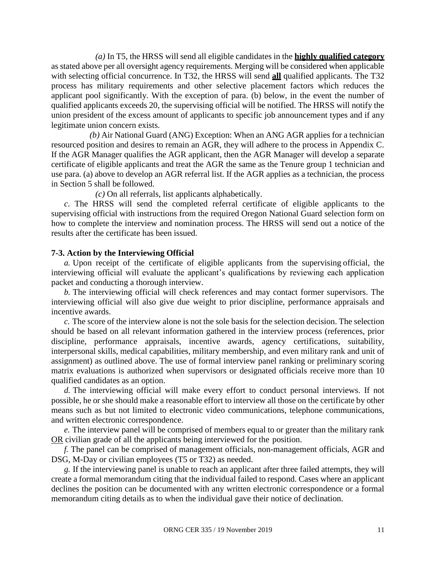*(a)* In T5, the HRSS will send all eligible candidates in the **highly qualified category** as stated above per all oversight agency requirements. Merging will be considered when applicable with selecting official concurrence. In T32, the HRSS will send **all** qualified applicants. The T32 process has military requirements and other selective placement factors which reduces the applicant pool significantly. With the exception of para. (b) below, in the event the number of qualified applicants exceeds 20, the supervising official will be notified. The HRSS will notify the union president of the excess amount of applicants to specific job announcement types and if any legitimate union concern exists.

*(b)* Air National Guard (ANG) Exception: When an ANG AGR applies for a technician resourced position and desires to remain an AGR, they will adhere to the process in Appendix C. If the AGR Manager qualifies the AGR applicant, then the AGR Manager will develop a separate certificate of eligible applicants and treat the AGR the same as the Tenure group 1 technician and use para. (a) above to develop an AGR referral list. If the AGR applies as a technician, the process in Section 5 shall be followed.

*(c)* On all referrals, list applicants alphabetically.

*c*. The HRSS will send the completed referral certificate of eligible applicants to the supervising official with instructions from the required Oregon National Guard selection form on how to complete the interview and nomination process. The HRSS will send out a notice of the results after the certificate has been issued.

#### **7-3. Action by the Interviewing Official**

*a.* Upon receipt of the certificate of eligible applicants from the supervising official, the interviewing official will evaluate the applicant's qualifications by reviewing each application packet and conducting a thorough interview.

*b.* The interviewing official will check references and may contact former supervisors. The interviewing official will also give due weight to prior discipline, performance appraisals and incentive awards.

*c.* The score of the interview alone is not the sole basis for the selection decision. The selection should be based on all relevant information gathered in the interview process (references, prior discipline, performance appraisals, incentive awards, agency certifications, suitability, interpersonal skills, medical capabilities, military membership, and even military rank and unit of assignment) as outlined above. The use of formal interview panel ranking or preliminary scoring matrix evaluations is authorized when supervisors or designated officials receive more than 10 qualified candidates as an option.

*d.* The interviewing official will make every effort to conduct personal interviews. If not possible, he or she should make a reasonable effort to interview all those on the certificate by other means such as but not limited to electronic video communications, telephone communications, and written electronic correspondence.

*e.* The interview panel will be comprised of members equal to or greater than the military rank OR civilian grade of all the applicants being interviewed for the position.

*f.* The panel can be comprised of management officials, non-management officials, AGR and DSG, M-Day or civilian employees (T5 or T32) as needed.

*g.* If the interviewing panel is unable to reach an applicant after three failed attempts, they will create a formal memorandum citing that the individual failed to respond. Cases where an applicant declines the position can be documented with any written electronic correspondence or a formal memorandum citing details as to when the individual gave their notice of declination.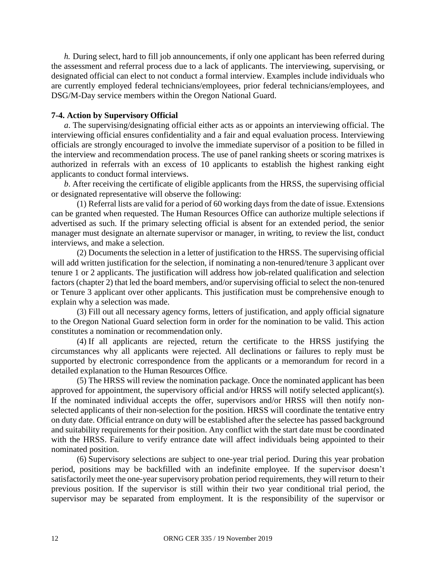*h.* During select, hard to fill job announcements, if only one applicant has been referred during the assessment and referral process due to a lack of applicants. The interviewing, supervising, or designated official can elect to not conduct a formal interview. Examples include individuals who are currently employed federal technicians/employees, prior federal technicians/employees, and DSG/M-Day service members within the Oregon National Guard.

#### **7-4. Action by Supervisory Official**

*a*. The supervising/designating official either acts as or appoints an interviewing official. The interviewing official ensures confidentiality and a fair and equal evaluation process. Interviewing officials are strongly encouraged to involve the immediate supervisor of a position to be filled in the interview and recommendation process. The use of panel ranking sheets or scoring matrixes is authorized in referrals with an excess of 10 applicants to establish the highest ranking eight applicants to conduct formal interviews.

*b*. After receiving the certificate of eligible applicants from the HRSS, the supervising official or designated representative will observe the following:

(1) Referral lists are valid for a period of 60 working days from the date of issue. Extensions can be granted when requested. The Human Resources Office can authorize multiple selections if advertised as such. If the primary selecting official is absent for an extended period, the senior manager must designate an alternate supervisor or manager, in writing, to review the list, conduct interviews, and make a selection.

(2) Documents the selection in a letter of justification to the HRSS. The supervising official will add written justification for the selection, if nominating a non-tenured/tenure 3 applicant over tenure 1 or 2 applicants. The justification will address how job-related qualification and selection factors (chapter 2) that led the board members, and/or supervising official to select the non-tenured or Tenure 3 applicant over other applicants. This justification must be comprehensive enough to explain why a selection was made.

(3) Fill out all necessary agency forms, letters of justification, and apply official signature to the Oregon National Guard selection form in order for the nomination to be valid. This action constitutes a nomination or recommendation only.

(4) If all applicants are rejected, return the certificate to the HRSS justifying the circumstances why all applicants were rejected. All declinations or failures to reply must be supported by electronic correspondence from the applicants or a memorandum for record in a detailed explanation to the Human Resources Office.

(5) The HRSS will review the nomination package. Once the nominated applicant has been approved for appointment, the supervisory official and/or HRSS will notify selected applicant(s). If the nominated individual accepts the offer, supervisors and/or HRSS will then notify nonselected applicants of their non-selection for the position. HRSS will coordinate the tentative entry on duty date. Official entrance on duty will be established after the selectee has passed background and suitability requirements for their position. Any conflict with the start date must be coordinated with the HRSS. Failure to verify entrance date will affect individuals being appointed to their nominated position.

(6) Supervisory selections are subject to one-year trial period. During this year probation period, positions may be backfilled with an indefinite employee. If the supervisor doesn't satisfactorily meet the one-year supervisory probation period requirements, they will return to their previous position. If the supervisor is still within their two year conditional trial period, the supervisor may be separated from employment. It is the responsibility of the supervisor or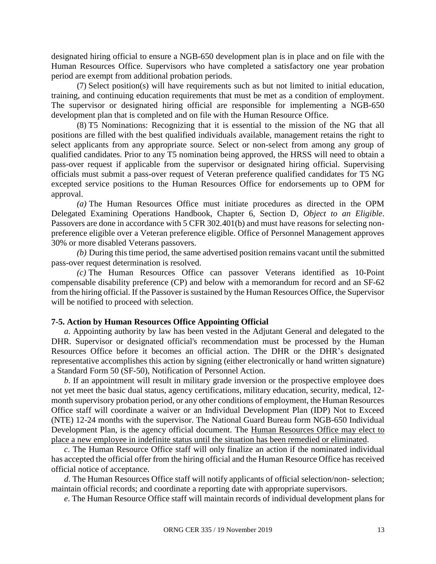designated hiring official to ensure a NGB-650 development plan is in place and on file with the Human Resources Office. Supervisors who have completed a satisfactory one year probation period are exempt from additional probation periods.

(7) Select position(s) will have requirements such as but not limited to initial education, training, and continuing education requirements that must be met as a condition of employment. The supervisor or designated hiring official are responsible for implementing a NGB-650 development plan that is completed and on file with the Human Resource Office.

(8) T5 Nominations: Recognizing that it is essential to the mission of the NG that all positions are filled with the best qualified individuals available, management retains the right to select applicants from any appropriate source. Select or non-select from among any group of qualified candidates. Prior to any T5 nomination being approved, the HRSS will need to obtain a pass-over request if applicable from the supervisor or designated hiring official. Supervising officials must submit a pass-over request of Veteran preference qualified candidates for T5 NG excepted service positions to the Human Resources Office for endorsements up to OPM for approval.

*(a)* The Human Resources Office must initiate procedures as directed in the OPM Delegated Examining Operations Handbook, Chapter 6, Section D, *Object to an Eligible*. Passovers are done in accordance with 5 CFR 302.401(b) and must have reasons for selecting nonpreference eligible over a Veteran preference eligible. Office of Personnel Management approves 30% or more disabled Veterans passovers.

*(b)* During this time period, the same advertised position remains vacant until the submitted pass-over request determination is resolved.

*(c)* The Human Resources Office can passover Veterans identified as 10-Point compensable disability preference (CP) and below with a memorandum for record and an SF-62 from the hiring official. If the Passover is sustained by the Human Resources Office, the Supervisor will be notified to proceed with selection.

#### **7-5. Action by Human Resources Office Appointing Official**

*a*. Appointing authority by law has been vested in the Adjutant General and delegated to the DHR. Supervisor or designated official's recommendation must be processed by the Human Resources Office before it becomes an official action. The DHR or the DHR's designated representative accomplishes this action by signing (either electronically or hand written signature) a Standard Form 50 (SF-50), Notification of Personnel Action.

*b*. If an appointment will result in military grade inversion or the prospective employee does not yet meet the basic dual status, agency certifications, military education, security, medical, 12 month supervisory probation period, or any other conditions of employment, the Human Resources Office staff will coordinate a waiver or an Individual Development Plan (IDP) Not to Exceed (NTE) 12-24 months with the supervisor. The National Guard Bureau form NGB-650 Individual Development Plan, is the agency official document. The Human Resources Office may elect to place a new employee in indefinite status until the situation has been remedied or eliminated.

*c*. The Human Resource Office staff will only finalize an action if the nominated individual has accepted the official offer from the hiring official and the Human Resource Office has received official notice of acceptance.

*d*. The Human Resources Office staff will notify applicants of official selection/non- selection; maintain official records; and coordinate a reporting date with appropriate supervisors.

*e*. The Human Resource Office staff will maintain records of individual development plans for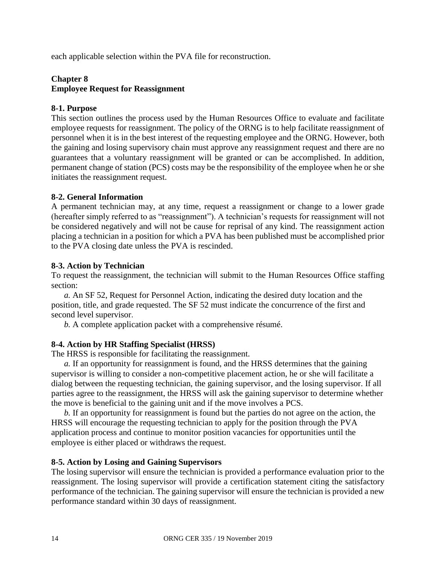each applicable selection within the PVA file for reconstruction.

#### **Chapter 8 Employee Request for Reassignment**

#### **8-1. Purpose**

This section outlines the process used by the Human Resources Office to evaluate and facilitate employee requests for reassignment. The policy of the ORNG is to help facilitate reassignment of personnel when it is in the best interest of the requesting employee and the ORNG. However, both the gaining and losing supervisory chain must approve any reassignment request and there are no guarantees that a voluntary reassignment will be granted or can be accomplished. In addition, permanent change of station (PCS) costs may be the responsibility of the employee when he or she initiates the reassignment request.

#### **8-2. General Information**

A permanent technician may, at any time, request a reassignment or change to a lower grade (hereafter simply referred to as "reassignment"). A technician's requests for reassignment will not be considered negatively and will not be cause for reprisal of any kind. The reassignment action placing a technician in a position for which a PVA has been published must be accomplished prior to the PVA closing date unless the PVA is rescinded.

#### **8-3. Action by Technician**

To request the reassignment, the technician will submit to the Human Resources Office staffing section:

*a.* An SF 52, Request for Personnel Action, indicating the desired duty location and the position, title, and grade requested. The SF 52 must indicate the concurrence of the first and second level supervisor.

*b.* A complete application packet with a comprehensive résumé.

#### **8-4. Action by HR Staffing Specialist (HRSS)**

The HRSS is responsible for facilitating the reassignment.

*a.* If an opportunity for reassignment is found, and the HRSS determines that the gaining supervisor is willing to consider a non-competitive placement action, he or she will facilitate a dialog between the requesting technician, the gaining supervisor, and the losing supervisor. If all parties agree to the reassignment, the HRSS will ask the gaining supervisor to determine whether the move is beneficial to the gaining unit and if the move involves a PCS.

*b.* If an opportunity for reassignment is found but the parties do not agree on the action, the HRSS will encourage the requesting technician to apply for the position through the PVA application process and continue to monitor position vacancies for opportunities until the employee is either placed or withdraws the request.

#### **8-5. Action by Losing and Gaining Supervisors**

The losing supervisor will ensure the technician is provided a performance evaluation prior to the reassignment. The losing supervisor will provide a certification statement citing the satisfactory performance of the technician. The gaining supervisor will ensure the technician is provided a new performance standard within 30 days of reassignment.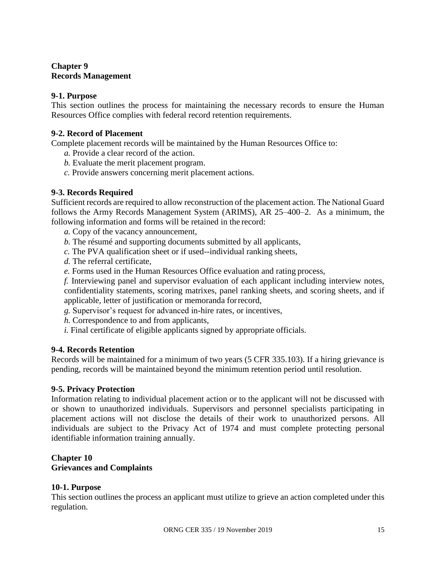#### **Chapter 9 Records Management**

#### **9-1. Purpose**

This section outlines the process for maintaining the necessary records to ensure the Human Resources Office complies with federal record retention requirements.

#### **9-2. Record of Placement**

Complete placement records will be maintained by the Human Resources Office to:

- *a.* Provide a clear record of the action.
- *b.* Evaluate the merit placement program.
- *c.* Provide answers concerning merit placement actions.

#### **9-3. Records Required**

Sufficient records are required to allow reconstruction of the placement action. The National Guard follows the Army Records Management System (ARIMS), AR 25–400–2. As a minimum, the following information and forms will be retained in the record:

- *a.* Copy of the vacancy announcement,
- *b.* The résumé and supporting documents submitted by all applicants,
- *c.* The PVA qualification sheet or if used--individual ranking sheets,
- *d.* The referral certificate,
- *e.* Forms used in the Human Resources Office evaluation and rating process,

*f.* Interviewing panel and supervisor evaluation of each applicant including interview notes, confidentiality statements, scoring matrixes, panel ranking sheets, and scoring sheets, and if applicable, letter of justification or memoranda forrecord,

- *g.* Supervisor's request for advanced in-hire rates, or incentives,
- *h.* Correspondence to and from applicants,
- *i.* Final certificate of eligible applicants signed by appropriate officials.

#### **9-4. Records Retention**

Records will be maintained for a minimum of two years (5 CFR 335.103). If a hiring grievance is pending, records will be maintained beyond the minimum retention period until resolution.

#### **9-5. Privacy Protection**

Information relating to individual placement action or to the applicant will not be discussed with or shown to unauthorized individuals. Supervisors and personnel specialists participating in placement actions will not disclose the details of their work to unauthorized persons. All individuals are subject to the Privacy Act of 1974 and must complete protecting personal identifiable information training annually.

#### **Chapter 10 Grievances and Complaints**

#### **10-1. Purpose**

This section outlines the process an applicant must utilize to grieve an action completed under this regulation.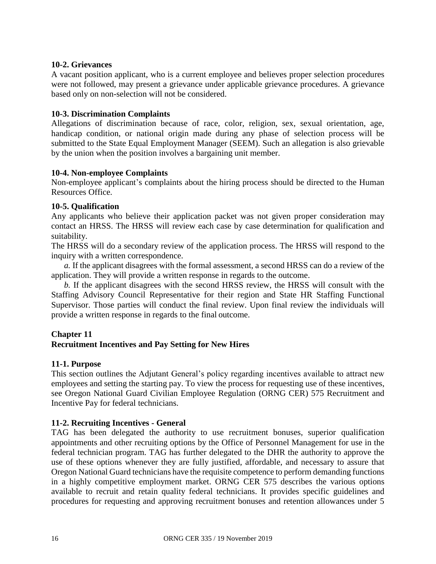#### **10-2. Grievances**

A vacant position applicant, who is a current employee and believes proper selection procedures were not followed, may present a grievance under applicable grievance procedures. A grievance based only on non-selection will not be considered.

#### **10-3. Discrimination Complaints**

Allegations of discrimination because of race, color, religion, sex, sexual orientation, age, handicap condition, or national origin made during any phase of selection process will be submitted to the State Equal Employment Manager (SEEM). Such an allegation is also grievable by the union when the position involves a bargaining unit member.

#### **10-4. Non-employee Complaints**

Non-employee applicant's complaints about the hiring process should be directed to the Human Resources Office.

#### **10-5. Qualification**

Any applicants who believe their application packet was not given proper consideration may contact an HRSS. The HRSS will review each case by case determination for qualification and suitability.

The HRSS will do a secondary review of the application process. The HRSS will respond to the inquiry with a written correspondence.

*a.* If the applicant disagrees with the formal assessment, a second HRSS can do a review of the application. They will provide a written response in regards to the outcome.

*b.* If the applicant disagrees with the second HRSS review, the HRSS will consult with the Staffing Advisory Council Representative for their region and State HR Staffing Functional Supervisor. Those parties will conduct the final review. Upon final review the individuals will provide a written response in regards to the final outcome.

#### **Chapter 11**

#### **Recruitment Incentives and Pay Setting for New Hires**

#### **11-1. Purpose**

This section outlines the Adjutant General's policy regarding incentives available to attract new employees and setting the starting pay. To view the process for requesting use of these incentives, see Oregon National Guard Civilian Employee Regulation (ORNG CER) 575 Recruitment and Incentive Pay for federal technicians.

#### **11-2. Recruiting Incentives - General**

TAG has been delegated the authority to use recruitment bonuses, superior qualification appointments and other recruiting options by the Office of Personnel Management for use in the federal technician program. TAG has further delegated to the DHR the authority to approve the use of these options whenever they are fully justified, affordable, and necessary to assure that Oregon National Guard technicians have the requisite competence to perform demanding functions in a highly competitive employment market. ORNG CER 575 describes the various options available to recruit and retain quality federal technicians. It provides specific guidelines and procedures for requesting and approving recruitment bonuses and retention allowances under 5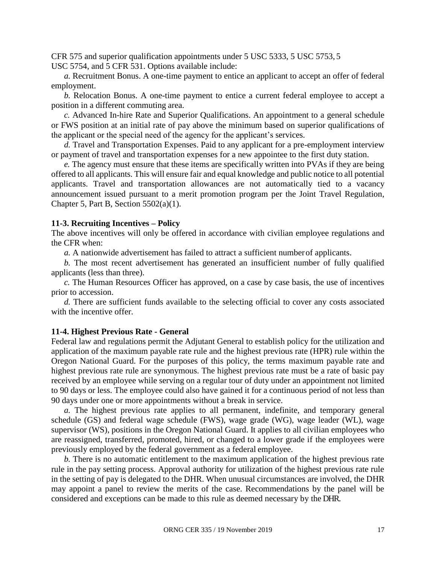CFR 575 and superior qualification appointments under 5 USC 5333, 5 USC 5753, 5 USC 5754, and 5 CFR 531. Options available include:

*a.* Recruitment Bonus. A one-time payment to entice an applicant to accept an offer of federal employment.

*b.* Relocation Bonus. A one-time payment to entice a current federal employee to accept a position in a different commuting area.

*c.* Advanced In-hire Rate and Superior Qualifications. An appointment to a general schedule or FWS position at an initial rate of pay above the minimum based on superior qualifications of the applicant or the special need of the agency for the applicant's services.

*d.* Travel and Transportation Expenses. Paid to any applicant for a pre-employment interview or payment of travel and transportation expenses for a new appointee to the first duty station.

*e.* The agency must ensure that these items are specifically written into PVAs if they are being offered to all applicants. This will ensure fair and equal knowledge and public notice to all potential applicants. Travel and transportation allowances are not automatically tied to a vacancy announcement issued pursuant to a merit promotion program per the Joint Travel Regulation, Chapter 5, Part B, Section  $5502(a)(1)$ .

#### **11-3. Recruiting Incentives – Policy**

The above incentives will only be offered in accordance with civilian employee regulations and the CFR when:

*a.* A nationwide advertisement has failed to attract a sufficient numberof applicants.

*b.* The most recent advertisement has generated an insufficient number of fully qualified applicants (less than three).

*c.* The Human Resources Officer has approved, on a case by case basis, the use of incentives prior to accession.

*d.* There are sufficient funds available to the selecting official to cover any costs associated with the incentive offer.

#### **11-4. Highest Previous Rate - General**

Federal law and regulations permit the Adjutant General to establish policy for the utilization and application of the maximum payable rate rule and the highest previous rate (HPR) rule within the Oregon National Guard. For the purposes of this policy, the terms maximum payable rate and highest previous rate rule are synonymous. The highest previous rate must be a rate of basic pay received by an employee while serving on a regular tour of duty under an appointment not limited to 90 days or less. The employee could also have gained it for a continuous period of not less than 90 days under one or more appointments without a break in service.

*a.* The highest previous rate applies to all permanent, indefinite, and temporary general schedule (GS) and federal wage schedule (FWS), wage grade (WG), wage leader (WL), wage supervisor (WS), positions in the Oregon National Guard. It applies to all civilian employees who are reassigned, transferred, promoted, hired, or changed to a lower grade if the employees were previously employed by the federal government as a federal employee.

*b.* There is no automatic entitlement to the maximum application of the highest previous rate rule in the pay setting process. Approval authority for utilization of the highest previous rate rule in the setting of pay is delegated to the DHR. When unusual circumstances are involved, the DHR may appoint a panel to review the merits of the case. Recommendations by the panel will be considered and exceptions can be made to this rule as deemed necessary by the DHR.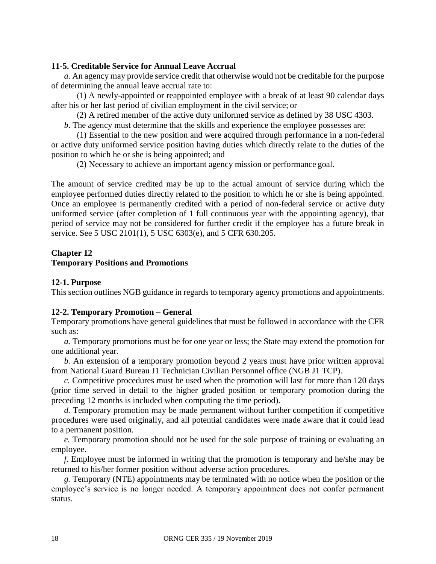#### **11-5. Creditable Service for Annual Leave Accrual**

*a*. An agency may provide service credit that otherwise would not be creditable for the purpose of determining the annual leave accrual rate to:

(1) A newly-appointed or reappointed employee with a break of at least 90 calendar days after his or her last period of civilian employment in the civil service; or

(2) A retired member of the active duty uniformed service as defined by 38 USC 4303.

*b*. The agency must determine that the skills and experience the employee possesses are:

(1) Essential to the new position and were acquired through performance in a non-federal or active duty uniformed service position having duties which directly relate to the duties of the position to which he or she is being appointed; and

(2) Necessary to achieve an important agency mission or performance goal.

The amount of service credited may be up to the actual amount of service during which the employee performed duties directly related to the position to which he or she is being appointed. Once an employee is permanently credited with a period of non-federal service or active duty uniformed service (after completion of 1 full continuous year with the appointing agency), that period of service may not be considered for further credit if the employee has a future break in service. See 5 USC 2101(1), 5 USC 6303(e), and 5 CFR 630.205.

#### **Chapter 12**

#### **Temporary Positions and Promotions**

#### **12-1. Purpose**

This section outlines NGB guidance in regards to temporary agency promotions and appointments.

#### **12-2. Temporary Promotion – General**

Temporary promotions have general guidelines that must be followed in accordance with the CFR such as:

*a.* Temporary promotions must be for one year or less; the State may extend the promotion for one additional year.

*b.* An extension of a temporary promotion beyond 2 years must have prior written approval from National Guard Bureau J1 Technician Civilian Personnel office (NGB J1 TCP).

*c.* Competitive procedures must be used when the promotion will last for more than 120 days (prior time served in detail to the higher graded position or temporary promotion during the preceding 12 months is included when computing the time period).

*d.* Temporary promotion may be made permanent without further competition if competitive procedures were used originally, and all potential candidates were made aware that it could lead to a permanent position.

*e.* Temporary promotion should not be used for the sole purpose of training or evaluating an employee.

*f.* Employee must be informed in writing that the promotion is temporary and he/she may be returned to his/her former position without adverse action procedures.

*g.* Temporary (NTE) appointments may be terminated with no notice when the position or the employee's service is no longer needed. A temporary appointment does not confer permanent status.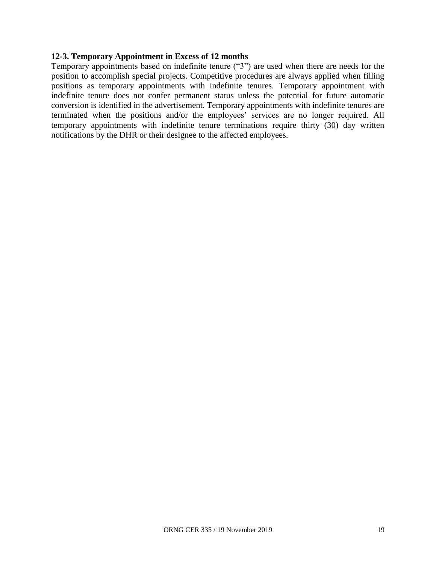#### **12-3. Temporary Appointment in Excess of 12 months**

Temporary appointments based on indefinite tenure ("3") are used when there are needs for the position to accomplish special projects. Competitive procedures are always applied when filling positions as temporary appointments with indefinite tenures. Temporary appointment with indefinite tenure does not confer permanent status unless the potential for future automatic conversion is identified in the advertisement. Temporary appointments with indefinite tenures are terminated when the positions and/or the employees' services are no longer required. All temporary appointments with indefinite tenure terminations require thirty (30) day written notifications by the DHR or their designee to the affected employees.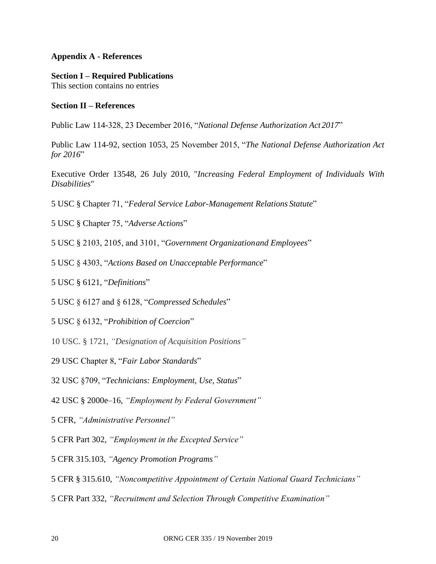#### **Appendix A - References**

#### **Section I – Required Publications**

This section contains no entries

#### **Section II – References**

Public Law 114-328, 23 December 2016, "*National Defense Authorization Act 2017*"

Public Law 114-92, section 1053, 25 November 2015, "*The National Defense Authorization Act for 2016*"

Executive Order 13548, 26 July 2010, "*Increasing Federal Employment of Individuals With Disabilities*"

5 USC § Chapter 71, "*Federal Service Labor-Management Relations Statute*"

5 USC § Chapter 75, "*Adverse Actions*"

5 USC § 2103, 2105, and 3101, "*Government Organizationand Employees*"

5 USC § 4303, "*Actions Based on Unacceptable Performance*"

5 USC § 6121, "*Definitions*"

5 USC § 6127 and § 6128, "*Compressed Schedules*"

5 USC § 6132, "*Prohibition of Coercion*"

10 USC. § 1721, *"Designation of Acquisition Positions"*

29 USC Chapter 8, "*Fair Labor Standards*"

32 USC §709, "*Technicians: Employment, Use, Status*"

42 USC § 2000e–16, *"Employment by Federal Government"*

5 CFR, *"Administrative Personnel"*

5 CFR Part 302, *"Employment in the Excepted Service"*

5 CFR 315.103, *"Agency Promotion Programs"*

5 CFR § 315.610, *"Noncompetitive Appointment of Certain National Guard Technicians"*

[5 CFR Part 332,](https://www.law.cornell.edu/cfr/text/5/part-332) *"Recruitment and Selection Through Competitive Examination"*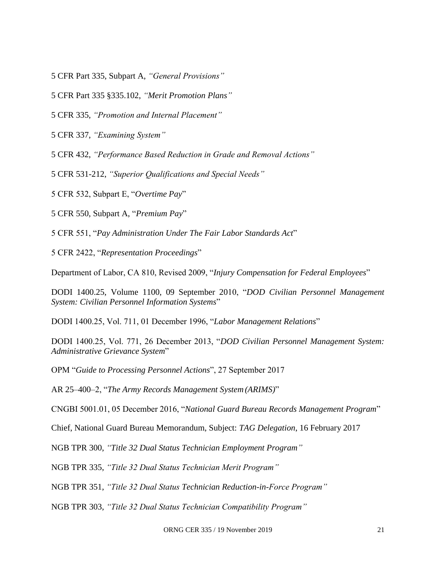5 CFR Part 335, Subpart A, *"General Provisions"*

5 CFR Part 335 §335.102, *"Merit Promotion Plans"*

5 CFR 335, *"Promotion and Internal Placement"*

5 CFR 337, *"Examining System"*

5 CFR 432, *"Performance Based Reduction in Grade and Removal Actions"*

5 CFR 531-212, *"Superior Qualifications and Special Needs"*

5 CFR 532, Subpart E, "*Overtime Pay*"

5 CFR 550, Subpart A, "*Premium Pay*"

5 CFR 551, "*Pay Administration Under The Fair Labor Standards Act*"

5 CFR 2422, "*Representation Proceedings*"

Department of Labor, CA 810, Revised 2009, "*Injury Compensation for Federal Employees*"

DODI 1400.25, Volume 1100, 09 September 2010, "*DOD Civilian Personnel Management System: Civilian Personnel Information Systems*"

DODI 1400.25, Vol. 711, 01 December 1996, "*Labor Management Relations*"

DODI 1400.25, Vol. 771, 26 December 2013, "*DOD Civilian Personnel Management System: Administrative Grievance System*"

OPM "*Guide to Processing Personnel Actions*", 27 September 2017

AR 25–400–2, "*The Army Records Management System (ARIMS)*"

CNGBI 5001.01, 05 December 2016, "*National Guard Bureau Records Management Program*"

Chief, National Guard Bureau Memorandum, Subject: *TAG Delegation*, 16 February 2017

NGB TPR 300, *"Title 32 Dual Status Technician Employment Program"*

NGB TPR 335, *"Title 32 Dual Status Technician Merit Program"*

NGB TPR 351, *"Title 32 Dual Status Technician Reduction-in-Force Program"*

NGB TPR 303, *"Title 32 Dual Status Technician Compatibility Program"*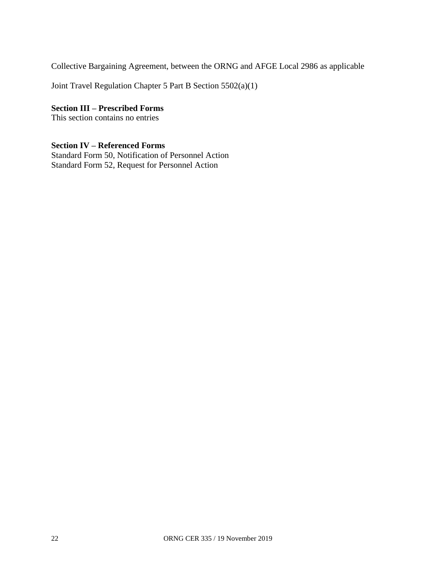Collective Bargaining Agreement, between the ORNG and AFGE Local 2986 as applicable

Joint Travel Regulation Chapter 5 Part B Section 5502(a)(1)

**Section III – Prescribed Forms**

This section contains no entries

#### **Section IV – Referenced Forms**

Standard Form 50, Notification of Personnel Action Standard Form 52, Request for Personnel Action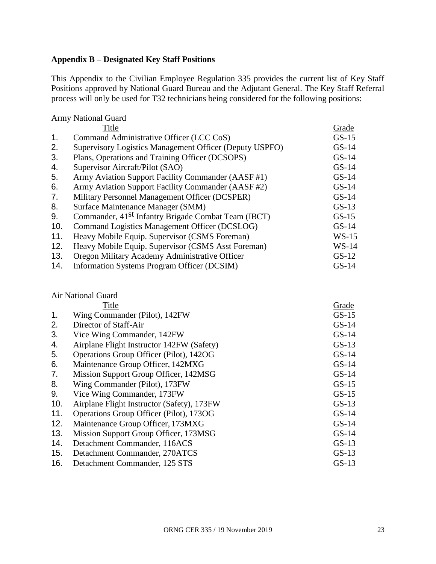#### **Appendix B – Designated Key Staff Positions**

This Appendix to the Civilian Employee Regulation 335 provides the current list of Key Staff Positions approved by National Guard Bureau and the Adjutant General. The Key Staff Referral process will only be used for T32 technicians being considered for the following positions:

Army National Guard

|     | Title                                                           | Grade   |
|-----|-----------------------------------------------------------------|---------|
| 1.  | Command Administrative Officer (LCC CoS)                        | $GS-15$ |
| 2.  | Supervisory Logistics Management Officer (Deputy USPFO)         | $GS-14$ |
| 3.  | Plans, Operations and Training Officer (DCSOPS)                 | $GS-14$ |
| 4.  | Supervisor Aircraft/Pilot (SAO)                                 | $GS-14$ |
| 5.  | Army Aviation Support Facility Commander (AASF#1)               | $GS-14$ |
| 6.  | Army Aviation Support Facility Commander (AASF #2)              | $GS-14$ |
| 7.  | Military Personnel Management Officer (DCSPER)                  | $GS-14$ |
| 8.  | Surface Maintenance Manager (SMM)                               | $GS-13$ |
| 9.  | Commander, 41 <sup>st</sup> Infantry Brigade Combat Team (IBCT) | $GS-15$ |
| 10. | Command Logistics Management Officer (DCSLOG)                   | $GS-14$ |
| 11. | Heavy Mobile Equip. Supervisor (CSMS Foreman)                   | $WS-15$ |
| 12. | Heavy Mobile Equip. Supervisor (CSMS Asst Foreman)              | $WS-14$ |
| 13. | Oregon Military Academy Administrative Officer                  | $GS-12$ |
| 14. | Information Systems Program Officer (DCSIM)                     | $GS-14$ |

# Air National Guard

|     | Title                                      | Grade   |
|-----|--------------------------------------------|---------|
| 1.  | Wing Commander (Pilot), 142FW              | $GS-15$ |
| 2.  | Director of Staff-Air                      | $GS-14$ |
| 3.  | Vice Wing Commander, 142FW                 | $GS-14$ |
| 4.  | Airplane Flight Instructor 142FW (Safety)  | $GS-13$ |
| 5.  | Operations Group Officer (Pilot), 142OG    | $GS-14$ |
| 6.  | Maintenance Group Officer, 142MXG          | $GS-14$ |
| 7.  | Mission Support Group Officer, 142MSG      | $GS-14$ |
| 8.  | Wing Commander (Pilot), 173FW              | $GS-15$ |
| 9.  | Vice Wing Commander, 173FW                 | $GS-15$ |
| 10. | Airplane Flight Instructor (Safety), 173FW | $GS-13$ |
| 11. | Operations Group Officer (Pilot), 1730G    | $GS-14$ |
| 12. | Maintenance Group Officer, 173MXG          | $GS-14$ |
| 13. | Mission Support Group Officer, 173MSG      | $GS-14$ |
| 14. | Detachment Commander, 116ACS               | $GS-13$ |
| 15. | Detachment Commander, 270ATCS              | $GS-13$ |
| 16. | Detachment Commander, 125 STS              | $GS-13$ |
|     |                                            |         |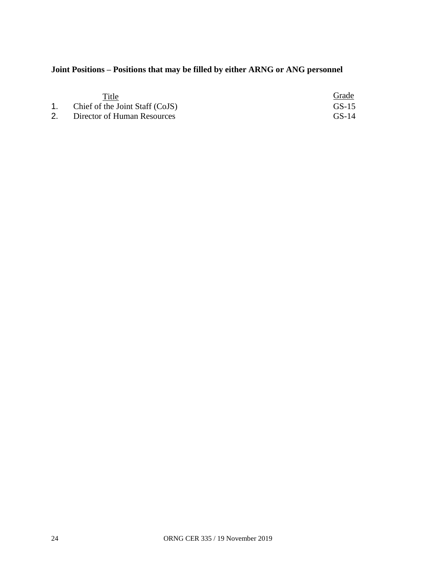# **Joint Positions – Positions that may be filled by either ARNG or ANG personnel**

| Title                              | Grade   |
|------------------------------------|---------|
| 1. Chief of the Joint Staff (CoJS) | $GS-15$ |
| Director of Human Resources        | $GS-14$ |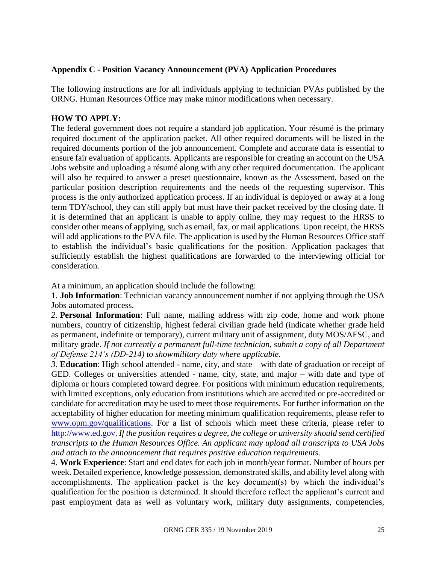#### **Appendix C - Position Vacancy Announcement (PVA) Application Procedures**

The following instructions are for all individuals applying to technician PVAs published by the ORNG. Human Resources Office may make minor modifications when necessary.

#### **HOW TO APPLY:**

The federal government does not require a standard job application. Your résumé is the primary required document of the application packet. All other required documents will be listed in the required documents portion of the job announcement. Complete and accurate data is essential to ensure fair evaluation of applicants. Applicants are responsible for creating an account on the USA Jobs website and uploading a résumé along with any other required documentation. The applicant will also be required to answer a preset questionnaire, known as the Assessment, based on the particular position description requirements and the needs of the requesting supervisor. This process is the only authorized application process. If an individual is deployed or away at a long term TDY/school, they can still apply but must have their packet received by the closing date. If it is determined that an applicant is unable to apply online, they may request to the HRSS to consider other means of applying, such as email, fax, or mail applications. Upon receipt, the HRSS will add applications to the PVA file. The application is used by the Human Resources Office staff to establish the individual's basic qualifications for the position. Application packages that sufficiently establish the highest qualifications are forwarded to the interviewing official for consideration.

At a minimum, an application should include the following:

1. **Job Information**: Technician vacancy announcement number if not applying through the USA Jobs automated process.

*2.* **Personal Information**: Full name, mailing address with zip code, home and work phone numbers, country of citizenship, highest federal civilian grade held (indicate whether grade held as permanent, indefinite or temporary), current military unit of assignment, duty MOS/AFSC, and military grade. *If not currently a permanent full-time technician, submit a copy of all Department of Defense 214's (DD-214) to showmilitary duty where applicable.*

*3.* **Education**: High school attended - name, city, and state – with date of graduation or receipt of GED. Colleges or universities attended - name, city, state, and major – with date and type of diploma or hours completed toward degree. For positions with minimum education requirements, with limited exceptions, only education from institutions which are accredited or pre-accredited or candidate for accreditation may be used to meet those requirements. For further information on the acceptability of higher education for meeting minimum qualification requirements, please refer t[o](http://www.opm.gov/qualifications) [www.opm.gov/qualifications.](http://www.opm.gov/qualifications) For a list of schools which meet these criteria, please refer t[o](http://www.ed.gov/) [http://www.ed.gov.](http://www.ed.gov/) *If the position requires a degree, the college or university should send certified transcripts to the Human Resources Office. An applicant may upload all transcripts to USA Jobs and attach to the announcement that requires positive education requirements.*

4. **Work Experience**: Start and end dates for each job in month/year format. Number of hours per week. Detailed experience, knowledge possession, demonstrated skills, and ability level along with accomplishments. The application packet is the key document(s) by which the individual's qualification for the position is determined. It should therefore reflect the applicant's current and past employment data as well as voluntary work, military duty assignments, competencies,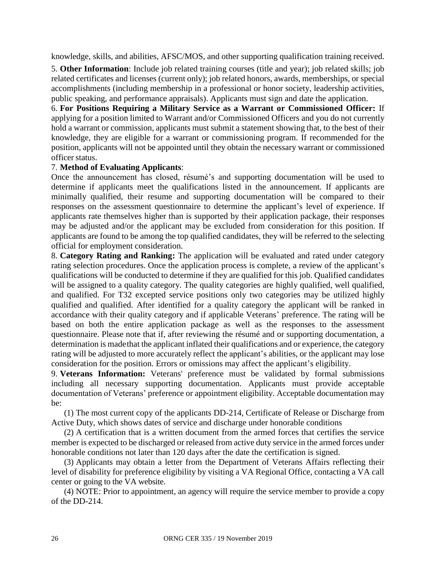knowledge, skills, and abilities, AFSC/MOS, and other supporting qualification training received.

5. **Other Information**: Include job related training courses (title and year); job related skills; job related certificates and licenses (current only); job related honors, awards, memberships, or special accomplishments (including membership in a professional or honor society, leadership activities, public speaking, and performance appraisals). Applicants must sign and date the application.

6. **For Positions Requiring a Military Service as a Warrant or Commissioned Officer:** If applying for a position limited to Warrant and/or Commissioned Officers and you do not currently hold a warrant or commission, applicants must submit a statement showing that, to the best of their knowledge, they are eligible for a warrant or commissioning program. If recommended for the position, applicants will not be appointed until they obtain the necessary warrant or commissioned officer status.

#### 7. **Method of Evaluating Applicants**:

Once the announcement has closed, résumé's and supporting documentation will be used to determine if applicants meet the qualifications listed in the announcement. If applicants are minimally qualified, their resume and supporting documentation will be compared to their responses on the assessment questionnaire to determine the applicant's level of experience. If applicants rate themselves higher than is supported by their application package, their responses may be adjusted and/or the applicant may be excluded from consideration for this position. If applicants are found to be among the top qualified candidates, they will be referred to the selecting official for employment consideration.

8. **Category Rating and Ranking:** The application will be evaluated and rated under category rating selection procedures. Once the application process is complete, a review of the applicant's qualifications will be conducted to determine if they are qualified for this job. Qualified candidates will be assigned to a quality category. The quality categories are highly qualified, well qualified, and qualified. For T32 excepted service positions only two categories may be utilized highly qualified and qualified. After identified for a quality category the applicant will be ranked in accordance with their quality category and if applicable Veterans' preference. The rating will be based on both the entire application package as well as the responses to the assessment questionnaire. Please note that if, after reviewing the résumé and or supporting documentation, a determination is madethat the applicant inflated their qualifications and or experience, the category rating will be adjusted to more accurately reflect the applicant's abilities, or the applicant may lose consideration for the position. Errors or omissions may affect the applicant's eligibility.

9. **Veterans Information:** Veterans' preference must be validated by formal submissions including all necessary supporting documentation. Applicants must provide acceptable documentation of Veterans' preference or appointment eligibility. Acceptable documentation may be:

(1) The most current copy of the applicants DD-214, Certificate of Release or Discharge from Active Duty, which shows dates of service and discharge under honorable conditions

(2) A certification that is a written document from the armed forces that certifies the service member is expected to be discharged or released from active duty service in the armed forces under honorable conditions not later than 120 days after the date the certification is signed.

(3) Applicants may obtain a letter from the Department of Veterans Affairs reflecting their level of disability for preference eligibility by visiting a VA Regional Office, contacting a VA call center or going to the VA website.

(4) NOTE: Prior to appointment, an agency will require the service member to provide a copy of the DD-214.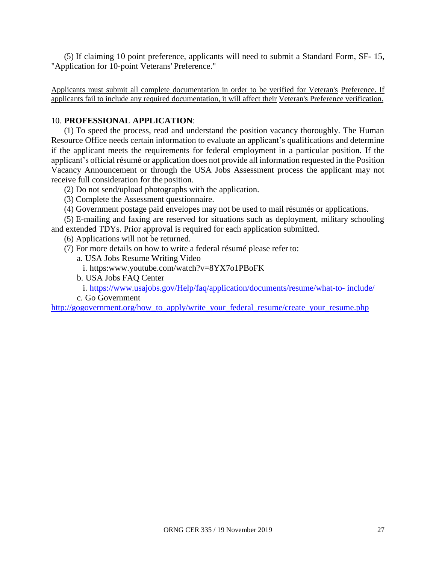(5) If claiming 10 point preference, applicants will need to submit a Standard Form, SF- 15, "Application for 10-point Veterans' Preference."

Applicants must submit all complete documentation in order to be verified for Veteran's Preference. If applicants fail to include any required documentation, it will affect their Veteran's Preference verification.

#### 10. **PROFESSIONAL APPLICATION**:

(1) To speed the process, read and understand the position vacancy thoroughly. The Human Resource Office needs certain information to evaluate an applicant's qualifications and determine if the applicant meets the requirements for federal employment in a particular position. If the applicant's official résumé or application does not provide all information requested in the Position Vacancy Announcement or through the USA Jobs Assessment process the applicant may not receive full consideration for the position.

(2) Do not send/upload photographs with the application.

(3) Complete the Assessment questionnaire.

(4) Government postage paid envelopes may not be used to mail résumés or applications.

(5) E-mailing and faxing are reserved for situations such as deployment, military schooling and extended TDYs. Prior approval is required for each application submitted.

(6) Applications will not be returned.

- (7) For more details on how to write a federal résumé please refer to:
	- a. USA Jobs Resume Writing Video
	- i. https:www.youtube.com/watch?v=8YX7o1PBoFK
	- b. USA Jobs FAQ Center

i. [https://www.usajobs.gov/Help/faq/application/documents/resume/what-to-](https://www.usajobs.gov/Help/faq/application/documents/resume/what-to-%20include/) include/

c. Go Government

[http://gogovernment.org/how\\_to\\_apply/write\\_your\\_federal\\_resume/create\\_your\\_resume.php](http://gogovernment.org/how_to_apply/write_your_federal_resume/create_your_resume.php)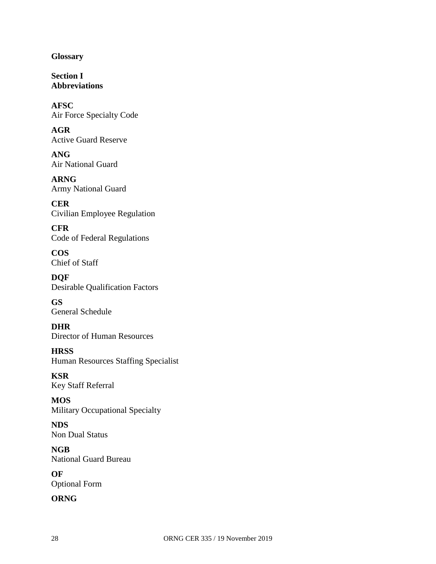**Glossary**

**Section I Abbreviations**

**AFSC** Air Force Specialty Code

**AGR** Active Guard Reserve

**ANG** Air National Guard

**ARNG** Army National Guard

**CER** Civilian Employee Regulation

**CFR** Code of Federal Regulations

**COS** Chief of Staff

**DQF** Desirable Qualification Factors

**GS** General Schedule

**DHR** Director of Human Resources

**HRSS** Human Resources Staffing Specialist

**KSR** Key Staff Referral

**MOS** Military Occupational Specialty

**NDS** Non Dual Status

**NGB** National Guard Bureau

**OF** Optional Form

#### **ORNG**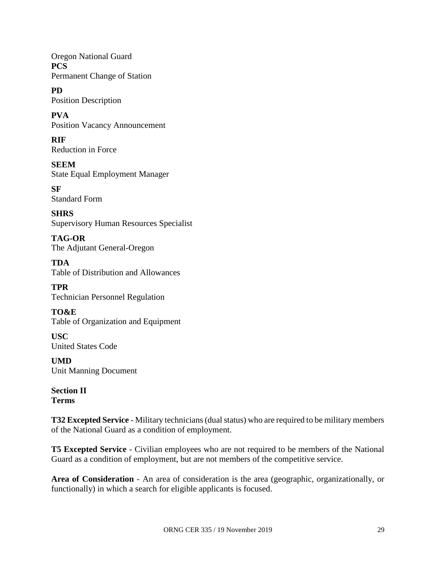Oregon National Guard **PCS** Permanent Change of Station

**PD** Position Description

**PVA** Position Vacancy Announcement

**RIF** Reduction in Force

**SEEM** State Equal Employment Manager

**SF** Standard Form

**SHRS** Supervisory Human Resources Specialist

**TAG-OR** The Adjutant General-Oregon

**TDA** Table of Distribution and Allowances

**TPR** Technician Personnel Regulation

**TO&E** Table of Organization and Equipment

**USC** United States Code

**UMD** Unit Manning Document

**Section II Terms**

**T32 Excepted Service** - Military technicians (dual status) who are required to be military members of the National Guard as a condition of employment.

**T5 Excepted Service** - Civilian employees who are not required to be members of the National Guard as a condition of employment, but are not members of the competitive service.

**Area of Consideration** - An area of consideration is the area (geographic, organizationally, or functionally) in which a search for eligible applicants is focused.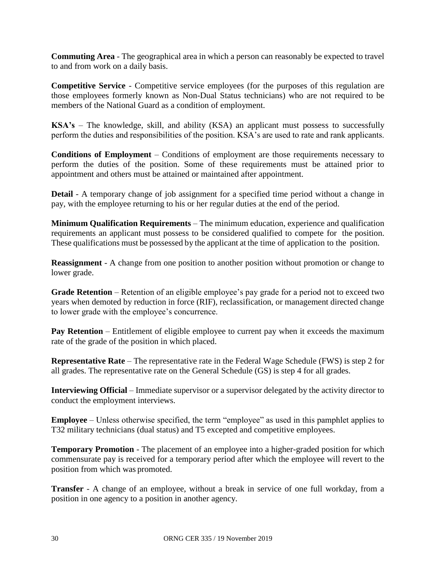**Commuting Area** - The geographical area in which a person can reasonably be expected to travel to and from work on a daily basis.

**Competitive Service** - Competitive service employees (for the purposes of this regulation are those employees formerly known as Non-Dual Status technicians) who are not required to be members of the National Guard as a condition of employment.

**KSA's** – The knowledge, skill, and ability (KSA) an applicant must possess to successfully perform the duties and responsibilities of the position. KSA's are used to rate and rank applicants.

**Conditions of Employment** – Conditions of employment are those requirements necessary to perform the duties of the position. Some of these requirements must be attained prior to appointment and others must be attained or maintained after appointment.

**Detail** - A temporary change of job assignment for a specified time period without a change in pay, with the employee returning to his or her regular duties at the end of the period.

**Minimum Qualification Requirements** – The minimum education, experience and qualification requirements an applicant must possess to be considered qualified to compete for the position. These qualifications must be possessed by the applicant at the time of application to the position.

**Reassignment** - A change from one position to another position without promotion or change to lower grade.

**Grade Retention** – Retention of an eligible employee's pay grade for a period not to exceed two years when demoted by reduction in force (RIF), reclassification, or management directed change to lower grade with the employee's concurrence.

**Pay Retention** – Entitlement of eligible employee to current pay when it exceeds the maximum rate of the grade of the position in which placed.

**Representative Rate** – The representative rate in the Federal Wage Schedule (FWS) is step 2 for all grades. The representative rate on the General Schedule (GS) is step 4 for all grades.

**Interviewing Official** – Immediate supervisor or a supervisor delegated by the activity director to conduct the employment interviews.

**Employee** – Unless otherwise specified, the term "employee" as used in this pamphlet applies to T32 military technicians (dual status) and T5 excepted and competitive employees.

**Temporary Promotion** - The placement of an employee into a higher-graded position for which commensurate pay is received for a temporary period after which the employee will revert to the position from which was promoted.

**Transfer** - A change of an employee, without a break in service of one full workday, from a position in one agency to a position in another agency.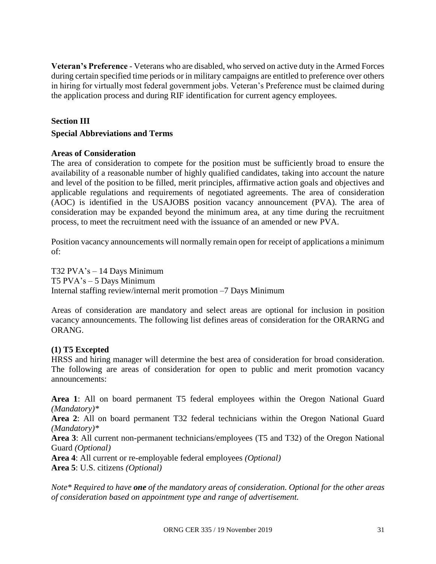**Veteran's Preference** - Veterans who are disabled, who served on active duty in the Armed Forces during certain specified time periods or in military campaigns are entitled to preference over others in hiring for virtually most federal government jobs. Veteran's Preference must be claimed during the application process and during RIF identification for current agency employees.

#### **Section III**

#### **Special Abbreviations and Terms**

#### **Areas of Consideration**

The area of consideration to compete for the position must be sufficiently broad to ensure the availability of a reasonable number of highly qualified candidates, taking into account the nature and level of the position to be filled, merit principles, affirmative action goals and objectives and applicable regulations and requirements of negotiated agreements. The area of consideration (AOC) is identified in the USAJOBS position vacancy announcement (PVA). The area of consideration may be expanded beyond the minimum area, at any time during the recruitment process, to meet the recruitment need with the issuance of an amended or new PVA.

Position vacancy announcements will normally remain open for receipt of applications a minimum of:

T32 PVA's – 14 Days Minimum T5 PVA's – 5 Days Minimum Internal staffing review/internal merit promotion –7 Days Minimum

Areas of consideration are mandatory and select areas are optional for inclusion in position vacancy announcements. The following list defines areas of consideration for the ORARNG and ORANG.

#### **(1) T5 Excepted**

HRSS and hiring manager will determine the best area of consideration for broad consideration. The following are areas of consideration for open to public and merit promotion vacancy announcements:

**Area 1**: All on board permanent T5 federal employees within the Oregon National Guard *(Mandatory)\**

**Area 2**: All on board permanent T32 federal technicians within the Oregon National Guard *(Mandatory)\**

**Area 3**: All current non-permanent technicians/employees (T5 and T32) of the Oregon National Guard *(Optional)*

**Area 4**: All current or re-employable federal employees *(Optional)*

**Area 5**: U.S. citizens *(Optional)*

*Note\* Required to have one of the mandatory areas of consideration. Optional for the other areas of consideration based on appointment type and range of advertisement.*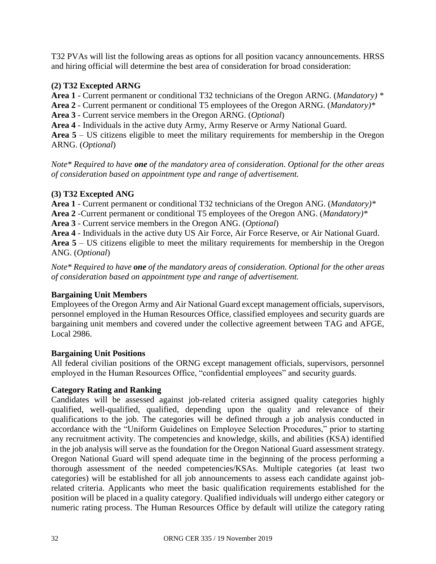T32 PVAs will list the following areas as options for all position vacancy announcements. HRSS and hiring official will determine the best area of consideration for broad consideration:

#### **(2) T32 Excepted ARNG**

**Area 1** - Current permanent or conditional T32 technicians of the Oregon ARNG. (*Mandatory) \**

**Area 2** - Current permanent or conditional T5 employees of the Oregon ARNG. (*Mandatory)\**

**Area 3** - Current service members in the Oregon ARNG. (*Optional*)

**Area 4** - Individuals in the active duty Army, Army Reserve or Army National Guard.

**Area 5** – US citizens eligible to meet the military requirements for membership in the Oregon ARNG. (*Optional*)

*Note\* Required to have one of the mandatory area of consideration. Optional for the other areas of consideration based on appointment type and range of advertisement.*

#### **(3) T32 Excepted ANG**

**Area 1** - Current permanent or conditional T32 technicians of the Oregon ANG. (*Mandatory)\**

**Area 2** -Current permanent or conditional T5 employees of the Oregon ANG. (*Mandatory)\**

**Area 3** - Current service members in the Oregon ANG. (*Optional*)

**Area 4** - Individuals in the active duty US Air Force, Air Force Reserve, or Air National Guard.

**Area 5** – US citizens eligible to meet the military requirements for membership in the Oregon ANG. (*Optional*)

*Note\* Required to have one of the mandatory areas of consideration. Optional for the other areas of consideration based on appointment type and range of advertisement.*

#### **Bargaining Unit Members**

Employees of the Oregon Army and Air National Guard except management officials, supervisors, personnel employed in the Human Resources Office, classified employees and security guards are bargaining unit members and covered under the collective agreement between TAG and AFGE, Local 2986.

#### **Bargaining Unit Positions**

All federal civilian positions of the ORNG except management officials, supervisors, personnel employed in the Human Resources Office, "confidential employees" and security guards.

#### **Category Rating and Ranking**

Candidates will be assessed against job-related criteria assigned quality categories highly qualified, well-qualified, qualified, depending upon the quality and relevance of their qualifications to the job. The categories will be defined through a job analysis conducted in accordance with the "Uniform Guidelines on Employee Selection Procedures," prior to starting any recruitment activity. The competencies and knowledge, skills, and abilities (KSA) identified in the job analysis will serve as the foundation for the Oregon National Guard assessment strategy. Oregon National Guard will spend adequate time in the beginning of the process performing a thorough assessment of the needed competencies/KSAs. Multiple categories (at least two categories) will be established for all job announcements to assess each candidate against jobrelated criteria. Applicants who meet the basic qualification requirements established for the position will be placed in a quality category. Qualified individuals will undergo either category or numeric rating process. The Human Resources Office by default will utilize the category rating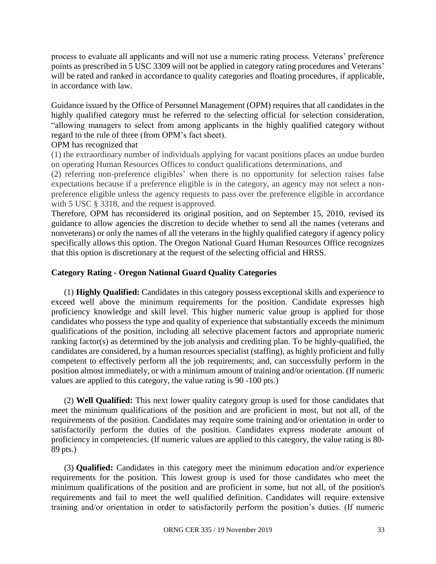process to evaluate all applicants and will not use a numeric rating process. Veterans' preference points as prescribed in 5 USC 3309 will not be applied in category rating procedures and Veterans' will be rated and ranked in accordance to quality categories and floating procedures, if applicable, in accordance with law.

Guidance issued by the Office of Personnel Management (OPM) requires that all candidates in the highly qualified category must be referred to the selecting official for selection consideration, "allowing managers to select from among applicants in the highly qualified category without regard to the rule of three (from OPM's fact sheet).

#### OPM has recognized that

(1) the extraordinary number of individuals applying for vacant positions places an undue burden on operating Human Resources Offices to conduct qualifications determinations, and

(2) referring non-preference eligibles' when there is no opportunity for selection raises false expectations because if a preference eligible is in the category, an agency may not select a nonpreference eligible unless the agency requests to pass over the preference eligible in accordance with 5 USC  $\S$  3318, and the request is approved.

Therefore, OPM has reconsidered its original position, and on September 15, 2010, revised its guidance to allow agencies the discretion to decide whether to send all the names (veterans and nonveterans) or only the names of all the veterans in the highly qualified category if agency policy specifically allows this option. The Oregon National Guard Human Resources Office recognizes that this option is discretionary at the request of the selecting official and HRSS.

#### **Category Rating - Oregon National Guard Quality Categories**

(1) **Highly Qualified:** Candidates in this category possess exceptional skills and experience to exceed well above the minimum requirements for the position. Candidate expresses high proficiency knowledge and skill level. This higher numeric value group is applied for those candidates who possess the type and quality of experience that substantially exceeds the minimum qualifications of the position, including all selective placement factors and appropriate numeric ranking factor(s) as determined by the job analysis and crediting plan. To be highly-qualified, the candidates are considered, by a human resources specialist (staffing), as highly proficient and fully competent to effectively perform all the job requirements; and, can successfully perform in the position almost immediately, or with a minimum amount of training and/or orientation. (If numeric values are applied to this category, the value rating is 90 -100 pts.)

(2) **Well Qualified:** This next lower quality category group is used for those candidates that meet the minimum qualifications of the position and are proficient in most, but not all, of the requirements of the position. Candidates may require some training and/or orientation in order to satisfactorily perform the duties of the position. Candidates express moderate amount of proficiency in competencies. (If numeric values are applied to this category, the value rating is 80- 89 pts.)

(3) **Qualified:** Candidates in this category meet the minimum education and/or experience requirements for the position. This lowest group is used for those candidates who meet the minimum qualifications of the position and are proficient in some, but not all, of the position's requirements and fail to meet the well qualified definition. Candidates will require extensive training and/or orientation in order to satisfactorily perform the position's duties. (If numeric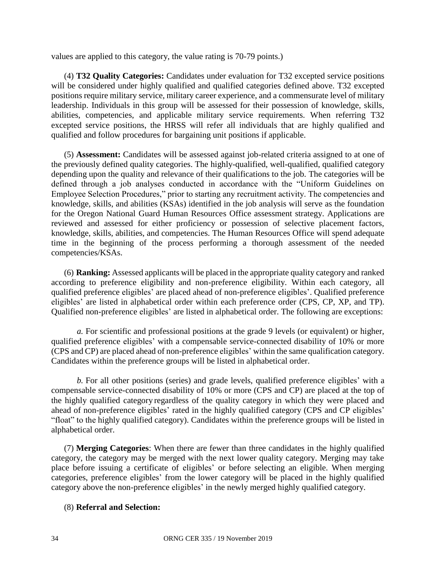values are applied to this category, the value rating is 70-79 points.)

(4) **T32 Quality Categories:** Candidates under evaluation for T32 excepted service positions will be considered under highly qualified and qualified categories defined above. T32 excepted positions require military service, military career experience, and a commensurate level of military leadership. Individuals in this group will be assessed for their possession of knowledge, skills, abilities, competencies, and applicable military service requirements. When referring T32 excepted service positions, the HRSS will refer all individuals that are highly qualified and qualified and follow procedures for bargaining unit positions if applicable.

(5) **Assessment:** Candidates will be assessed against job-related criteria assigned to at one of the previously defined quality categories. The highly-qualified, well-qualified, qualified category depending upon the quality and relevance of their qualifications to the job. The categories will be defined through a job analyses conducted in accordance with the "Uniform Guidelines on Employee Selection Procedures," prior to starting any recruitment activity. The competencies and knowledge, skills, and abilities (KSAs) identified in the job analysis will serve as the foundation for the Oregon National Guard Human Resources Office assessment strategy. Applications are reviewed and assessed for either proficiency or possession of selective placement factors, knowledge, skills, abilities, and competencies. The Human Resources Office will spend adequate time in the beginning of the process performing a thorough assessment of the needed competencies/KSAs.

(6) **Ranking:** Assessed applicants will be placed in the appropriate quality category and ranked according to preference eligibility and non-preference eligibility. Within each category, all qualified preference eligibles' are placed ahead of non-preference eligibles'. Qualified preference eligibles' are listed in alphabetical order within each preference order (CPS, CP, XP, and TP). Qualified non-preference eligibles' are listed in alphabetical order. The following are exceptions:

*a.* For scientific and professional positions at the grade 9 levels (or equivalent) or higher, qualified preference eligibles' with a compensable service-connected disability of 10% or more (CPS and CP) are placed ahead of non-preference eligibles' within the same qualification category. Candidates within the preference groups will be listed in alphabetical order.

*b.* For all other positions (series) and grade levels, qualified preference eligibles' with a compensable service-connected disability of 10% or more (CPS and CP) are placed at the top of the highly qualified category regardless of the quality category in which they were placed and ahead of non-preference eligibles' rated in the highly qualified category (CPS and CP eligibles' "float" to the highly qualified category). Candidates within the preference groups will be listed in alphabetical order.

(7) **Merging Categories**: When there are fewer than three candidates in the highly qualified category, the category may be merged with the next lower quality category. Merging may take place before issuing a certificate of eligibles' or before selecting an eligible. When merging categories, preference eligibles' from the lower category will be placed in the highly qualified category above the non-preference eligibles' in the newly merged highly qualified category.

#### (8) **Referral and Selection:**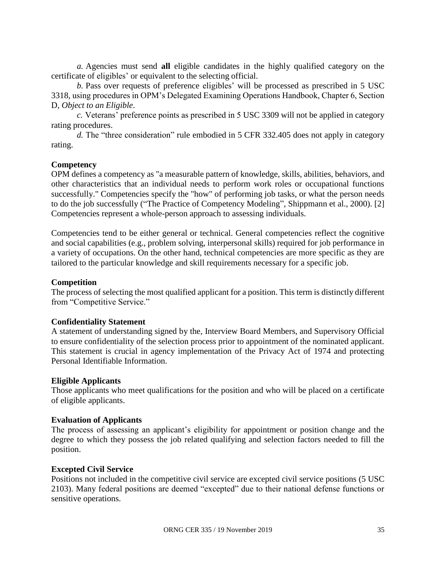*a.* Agencies must send **all** eligible candidates in the highly qualified category on the certificate of eligibles' or equivalent to the selecting official.

*b.* Pass over requests of preference eligibles' will be processed as prescribed in 5 USC 3318, using procedures in OPM's Delegated Examining Operations Handbook, Chapter 6, Section D, *Object to an Eligible*.

*c.* Veterans' preference points as prescribed in 5 USC 3309 will not be applied in category rating procedures.

*d.* The "three consideration" rule embodied in 5 CFR 332.405 does not apply in category rating.

#### **Competency**

OPM defines a competency as "a measurable pattern of knowledge, skills, abilities, behaviors, and other characteristics that an individual needs to perform work roles or occupational functions successfully." Competencies specify the "how" of performing job tasks, or what the person needs to do the job successfully ("The Practice of Competency Modeling", Shippmann et al., 2000). [2] Competencies represent a whole-person approach to assessing individuals.

Competencies tend to be either general or technical. General competencies reflect the cognitive and social capabilities (e.g., problem solving, interpersonal skills) required for job performance in a variety of occupations. On the other hand, technical competencies are more specific as they are tailored to the particular knowledge and skill requirements necessary for a specific job.

#### **Competition**

The process of selecting the most qualified applicant for a position. This term is distinctly different from "Competitive Service."

#### **Confidentiality Statement**

A statement of understanding signed by the, Interview Board Members, and Supervisory Official to ensure confidentiality of the selection process prior to appointment of the nominated applicant. This statement is crucial in agency implementation of the Privacy Act of 1974 and protecting Personal Identifiable Information.

#### **Eligible Applicants**

Those applicants who meet qualifications for the position and who will be placed on a certificate of eligible applicants.

#### **Evaluation of Applicants**

The process of assessing an applicant's eligibility for appointment or position change and the degree to which they possess the job related qualifying and selection factors needed to fill the position.

#### **Excepted Civil Service**

Positions not included in the competitive civil service are excepted civil service positions (5 USC 2103). Many federal positions are deemed "excepted" due to their national defense functions or sensitive operations.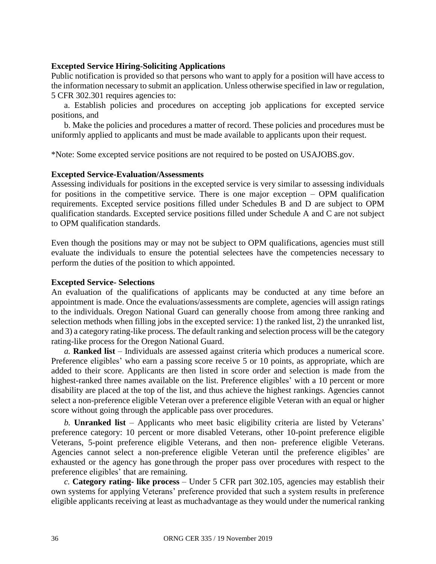#### **Excepted Service Hiring-Soliciting Applications**

Public notification is provided so that persons who want to apply for a position will have access to the information necessary to submit an application. Unless otherwise specified in law or regulation, 5 CFR 302.301 requires agencies to:

a. Establish policies and procedures on accepting job applications for excepted service positions, and

b. Make the policies and procedures a matter of record. These policies and procedures must be uniformly applied to applicants and must be made available to applicants upon their request.

\*Note: Some excepted service positions are not required to be posted on USAJOBS.gov.

#### **Excepted Service-Evaluation/Assessments**

Assessing individuals for positions in the excepted service is very similar to assessing individuals for positions in the competitive service. There is one major exception – OPM qualification requirements. Excepted service positions filled under Schedules B and D are subject to OPM qualification standards. Excepted service positions filled under Schedule A and C are not subject to OPM qualification standards.

Even though the positions may or may not be subject to OPM qualifications, agencies must still evaluate the individuals to ensure the potential selectees have the competencies necessary to perform the duties of the position to which appointed.

#### **Excepted Service- Selections**

An evaluation of the qualifications of applicants may be conducted at any time before an appointment is made. Once the evaluations/assessments are complete, agencies will assign ratings to the individuals. Oregon National Guard can generally choose from among three ranking and selection methods when filling jobs in the excepted service: 1) the ranked list, 2) the unranked list, and 3) a category rating-like process. The default ranking and selection process will be the category rating-like process for the Oregon National Guard.

*a.* **Ranked list** – Individuals are assessed against criteria which produces a numerical score. Preference eligibles' who earn a passing score receive 5 or 10 points, as appropriate, which are added to their score. Applicants are then listed in score order and selection is made from the highest-ranked three names available on the list. Preference eligibles' with a 10 percent or more disability are placed at the top of the list, and thus achieve the highest rankings. Agencies cannot select a non-preference eligible Veteran over a preference eligible Veteran with an equal or higher score without going through the applicable pass over procedures.

*b.* **Unranked list** – Applicants who meet basic eligibility criteria are listed by Veterans' preference category: 10 percent or more disabled Veterans, other 10-point preference eligible Veterans, 5-point preference eligible Veterans, and then non- preference eligible Veterans. Agencies cannot select a non-preference eligible Veteran until the preference eligibles' are exhausted or the agency has gone through the proper pass over procedures with respect to the preference eligibles' that are remaining.

*c.* **Category rating- like process** – Under 5 CFR part 302.105, agencies may establish their own systems for applying Veterans' preference provided that such a system results in preference eligible applicants receiving at least as muchadvantage as they would under the numerical ranking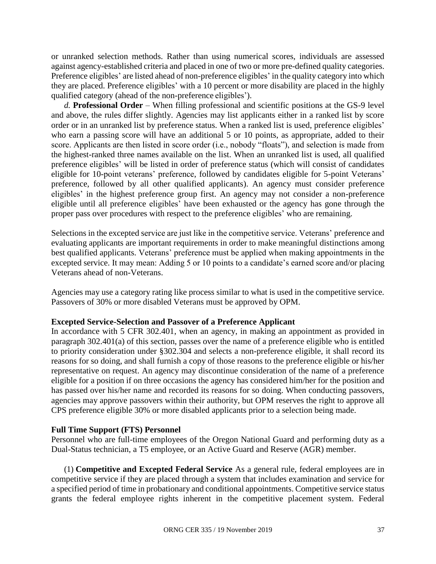or unranked selection methods. Rather than using numerical scores, individuals are assessed against agency-established criteria and placed in one of two or more pre-defined quality categories. Preference eligibles' are listed ahead of non-preference eligibles' in the quality category into which they are placed. Preference eligibles' with a 10 percent or more disability are placed in the highly qualified category (ahead of the non-preference eligibles').

*d.* **Professional Order** – When filling professional and scientific positions at the GS-9 level and above, the rules differ slightly. Agencies may list applicants either in a ranked list by score order or in an unranked list by preference status. When a ranked list is used, preference eligibles' who earn a passing score will have an additional 5 or 10 points, as appropriate, added to their score. Applicants are then listed in score order (i.e., nobody "floats"), and selection is made from the highest-ranked three names available on the list. When an unranked list is used, all qualified preference eligibles' will be listed in order of preference status (which will consist of candidates eligible for 10-point veterans' preference, followed by candidates eligible for 5-point Veterans' preference, followed by all other qualified applicants). An agency must consider preference eligibles' in the highest preference group first. An agency may not consider a non-preference eligible until all preference eligibles' have been exhausted or the agency has gone through the proper pass over procedures with respect to the preference eligibles' who are remaining.

Selections in the excepted service are just like in the competitive service. Veterans' preference and evaluating applicants are important requirements in order to make meaningful distinctions among best qualified applicants. Veterans' preference must be applied when making appointments in the excepted service. It may mean: Adding 5 or 10 points to a candidate's earned score and/or placing Veterans ahead of non-Veterans.

Agencies may use a category rating like process similar to what is used in the competitive service. Passovers of 30% or more disabled Veterans must be approved by OPM.

#### **Excepted Service-Selection and Passover of a Preference Applicant**

In accordance with 5 CFR 302.401, when an agency, in making an appointment as provided in paragraph 302.401(a) of this section, passes over the name of a preference eligible who is entitled to priority consideration under §302.304 and selects a non-preference eligible, it shall record its reasons for so doing, and shall furnish a copy of those reasons to the preference eligible or his/her representative on request. An agency may discontinue consideration of the name of a preference eligible for a position if on three occasions the agency has considered him/her for the position and has passed over his/her name and recorded its reasons for so doing. When conducting passovers, agencies may approve passovers within their authority, but OPM reserves the right to approve all CPS preference eligible 30% or more disabled applicants prior to a selection being made.

#### **Full Time Support (FTS) Personnel**

Personnel who are full-time employees of the Oregon National Guard and performing duty as a Dual-Status technician, a T5 employee, or an Active Guard and Reserve (AGR) member.

(1) **Competitive and Excepted Federal Service** As a general rule, federal employees are in competitive service if they are placed through a system that includes examination and service for a specified period of time in probationary and conditional appointments. Competitive service status grants the federal employee rights inherent in the competitive placement system. Federal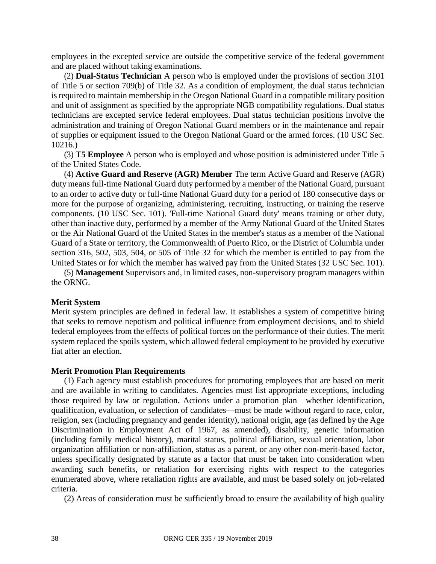employees in the excepted service are outside the competitive service of the federal government and are placed without taking examinations.

(2) **Dual-Status Technician** A person who is employed under the provisions of section 3101 of Title 5 or section 709(b) of Title 32. As a condition of employment, the dual status technician is required to maintain membership in the Oregon National Guard in a compatible military position and unit of assignment as specified by the appropriate NGB compatibility regulations. Dual status technicians are excepted service federal employees. Dual status technician positions involve the administration and training of Oregon National Guard members or in the maintenance and repair of supplies or equipment issued to the Oregon National Guard or the armed forces. (10 USC Sec. 10216.)

(3) **T5 Employee** A person who is employed and whose position is administered under Title 5 of the United States Code.

(4) **Active Guard and Reserve (AGR) Member** The term Active Guard and Reserve (AGR) duty means full-time National Guard duty performed by a member of the National Guard, pursuant to an order to active duty or full-time National Guard duty for a period of 180 consecutive days or more for the purpose of organizing, administering, recruiting, instructing, or training the reserve components. (10 USC Sec. 101). 'Full-time National Guard duty' means training or other duty, other than inactive duty, performed by a member of the Army National Guard of the United States or the Air National Guard of the United States in the member's status as a member of the National Guard of a State or territory, the Commonwealth of Puerto Rico, or the District of Columbia under section 316, 502, 503, 504, or 505 of Title 32 for which the member is entitled to pay from the United States or for which the member has waived pay from the United States (32 USC Sec. 101).

(5) **Management** Supervisors and, in limited cases, non-supervisory program managers within the ORNG.

#### **Merit System**

Merit system principles are defined in federal law. It establishes a system of competitive hiring that seeks to remove nepotism and political influence from employment decisions, and to shield federal employees from the effects of political forces on the performance of their duties. The merit system replaced the spoils system, which allowed federal employment to be provided by executive fiat after an election.

#### **Merit Promotion Plan Requirements**

(1) Each agency must establish procedures for promoting employees that are based on merit and are available in writing to candidates. Agencies must list appropriate exceptions, including those required by law or regulation. Actions under a promotion plan—whether identification, qualification, evaluation, or selection of candidates—must be made without regard to race, color, religion, sex (including pregnancy and gender identity), national origin, age (as defined by the Age Discrimination in Employment Act of 1967, as amended), disability, genetic information (including family medical history), marital status, political affiliation, sexual orientation, labor organization affiliation or non-affiliation, status as a parent, or any other non-merit-based factor, unless specifically designated by statute as a factor that must be taken into consideration when awarding such benefits, or retaliation for exercising rights with respect to the categories enumerated above, where retaliation rights are available, and must be based solely on job-related criteria.

(2) Areas of consideration must be sufficiently broad to ensure the availability of high quality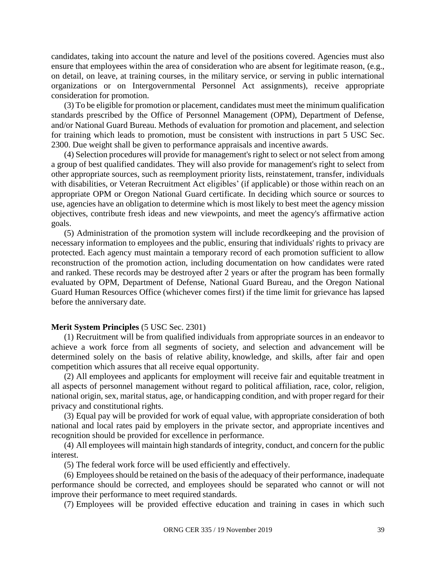candidates, taking into account the nature and level of the positions covered. Agencies must also ensure that employees within the area of consideration who are absent for legitimate reason, (e.g., on detail, on leave, at training courses, in the military service, or serving in public international organizations or on Intergovernmental Personnel Act assignments), receive appropriate consideration for promotion.

(3) To be eligible for promotion or placement, candidates must meet the minimum qualification standards prescribed by the Office of Personnel Management (OPM), Department of Defense, and/or National Guard Bureau. Methods of evaluation for promotion and placement, and selection for training which leads to promotion, must be consistent with instructions in part 5 USC Sec. 2300. Due weight shall be given to performance appraisals and incentive awards.

(4) Selection procedures will provide for management's right to select or not select from among a group of best qualified candidates. They will also provide for management's right to select from other appropriate sources, such as reemployment priority lists, reinstatement, transfer, individuals with disabilities, or Veteran Recruitment Act eligibles' (if applicable) or those within reach on an appropriate OPM or Oregon National Guard certificate. In deciding which source or sources to use, agencies have an obligation to determine which is most likely to best meet the agency mission objectives, contribute fresh ideas and new viewpoints, and meet the agency's affirmative action goals.

(5) Administration of the promotion system will include recordkeeping and the provision of necessary information to employees and the public, ensuring that individuals' rights to privacy are protected. Each agency must maintain a temporary record of each promotion sufficient to allow reconstruction of the promotion action, including documentation on how candidates were rated and ranked. These records may be destroyed after 2 years or after the program has been formally evaluated by OPM, Department of Defense, National Guard Bureau, and the Oregon National Guard Human Resources Office (whichever comes first) if the time limit for grievance has lapsed before the anniversary date.

#### **Merit System Principles** (5 USC Sec. 2301)

(1) Recruitment will be from qualified individuals from appropriate sources in an endeavor to achieve a work force from all segments of society, and selection and advancement will be determined solely on the basis of relative ability, knowledge, and skills, after fair and open competition which assures that all receive equal opportunity.

(2) All employees and applicants for employment will receive fair and equitable treatment in all aspects of personnel management without regard to political affiliation, race, color, religion, national origin, sex, marital status, age, or handicapping condition, and with proper regard for their privacy and constitutional rights.

(3) Equal pay will be provided for work of equal value, with appropriate consideration of both national and local rates paid by employers in the private sector, and appropriate incentives and recognition should be provided for excellence in performance.

(4) All employees will maintain high standards of integrity, conduct, and concern for the public interest.

(5) The federal work force will be used efficiently and effectively.

(6) Employees should be retained on the basis of the adequacy of their performance, inadequate performance should be corrected, and employees should be separated who cannot or will not improve their performance to meet required standards.

(7) Employees will be provided effective education and training in cases in which such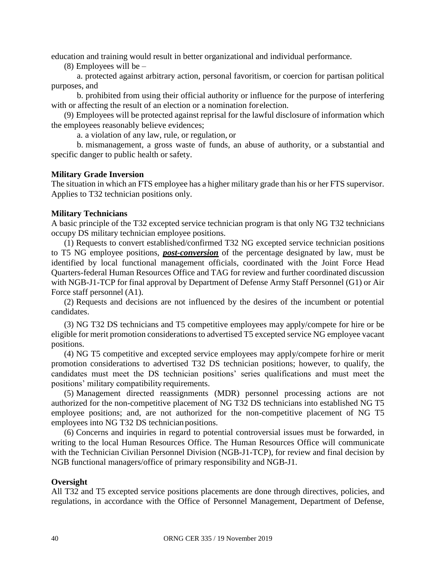education and training would result in better organizational and individual performance.

(8) Employees will be  $-$ 

a. protected against arbitrary action, personal favoritism, or coercion for partisan political purposes, and

b. prohibited from using their official authority or influence for the purpose of interfering with or affecting the result of an election or a nomination forelection.

(9) Employees will be protected against reprisal for the lawful disclosure of information which the employees reasonably believe evidences;

a. a violation of any law, rule, or regulation, or

b. mismanagement, a gross waste of funds, an abuse of authority, or a substantial and specific danger to public health or safety.

#### **Military Grade Inversion**

The situation in which an FTS employee has a higher military grade than his or her FTS supervisor. Applies to T32 technician positions only.

#### **Military Technicians**

A basic principle of the T32 excepted service technician program is that only NG T32 technicians occupy DS military technician employee positions.

(1) Requests to convert established/confirmed T32 NG excepted service technician positions to T5 NG employee positions, *post-conversion* of the percentage designated by law, must be identified by local functional management officials, coordinated with the Joint Force Head Quarters-federal Human Resources Office and TAG for review and further coordinated discussion with NGB-J1-TCP for final approval by Department of Defense Army Staff Personnel (G1) or Air Force staff personnel (A1).

(2) Requests and decisions are not influenced by the desires of the incumbent or potential candidates.

(3) NG T32 DS technicians and T5 competitive employees may apply/compete for hire or be eligible for merit promotion considerations to advertised T5 excepted service NG employee vacant positions.

(4) NG T5 competitive and excepted service employees may apply/compete forhire or merit promotion considerations to advertised T32 DS technician positions; however, to qualify, the candidates must meet the DS technician positions' series qualifications and must meet the positions' military compatibility requirements.

(5) Management directed reassignments (MDR) personnel processing actions are not authorized for the non-competitive placement of NG T32 DS technicians into established NG T5 employee positions; and, are not authorized for the non-competitive placement of NG T5 employees into NG T32 DS technician positions.

(6) Concerns and inquiries in regard to potential controversial issues must be forwarded, in writing to the local Human Resources Office. The Human Resources Office will communicate with the Technician Civilian Personnel Division (NGB-J1-TCP), for review and final decision by NGB functional managers/office of primary responsibility and NGB-J1.

#### **Oversight**

All T32 and T5 excepted service positions placements are done through directives, policies, and regulations, in accordance with the Office of Personnel Management, Department of Defense,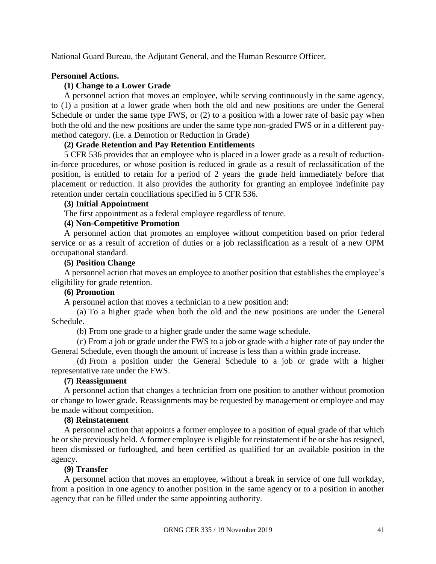National Guard Bureau, the Adjutant General, and the Human Resource Officer.

#### **Personnel Actions.**

#### **(1) Change to a Lower Grade**

A personnel action that moves an employee, while serving continuously in the same agency, to (1) a position at a lower grade when both the old and new positions are under the General Schedule or under the same type FWS, or (2) to a position with a lower rate of basic pay when both the old and the new positions are under the same type non-graded FWS or in a different paymethod category. (i.e. a Demotion or Reduction in Grade)

#### **(2) Grade Retention and Pay Retention Entitlements**

5 CFR 536 provides that an employee who is placed in a lower grade as a result of reductionin-force procedures, or whose position is reduced in grade as a result of reclassification of the position, is entitled to retain for a period of 2 years the grade held immediately before that placement or reduction. It also provides the authority for granting an employee indefinite pay retention under certain conciliations specified in 5 CFR 536.

#### **(3) Initial Appointment**

The first appointment as a federal employee regardless of tenure.

#### **(4) Non-Competitive Promotion**

A personnel action that promotes an employee without competition based on prior federal service or as a result of accretion of duties or a job reclassification as a result of a new OPM occupational standard.

#### **(5) Position Change**

A personnel action that moves an employee to another position that establishes the employee's eligibility for grade retention.

#### **(6) Promotion**

A personnel action that moves a technician to a new position and:

(a) To a higher grade when both the old and the new positions are under the General Schedule.

(b) From one grade to a higher grade under the same wage schedule.

(c) From a job or grade under the FWS to a job or grade with a higher rate of pay under the General Schedule, even though the amount of increase is less than a within grade increase.

(d) From a position under the General Schedule to a job or grade with a higher representative rate under the FWS.

#### **(7) Reassignment**

A personnel action that changes a technician from one position to another without promotion or change to lower grade. Reassignments may be requested by management or employee and may be made without competition.

#### **(8) Reinstatement**

A personnel action that appoints a former employee to a position of equal grade of that which he or she previously held. A former employee is eligible for reinstatement if he or she has resigned, been dismissed or furloughed, and been certified as qualified for an available position in the agency.

#### **(9) Transfer**

A personnel action that moves an employee, without a break in service of one full workday, from a position in one agency to another position in the same agency or to a position in another agency that can be filled under the same appointing authority.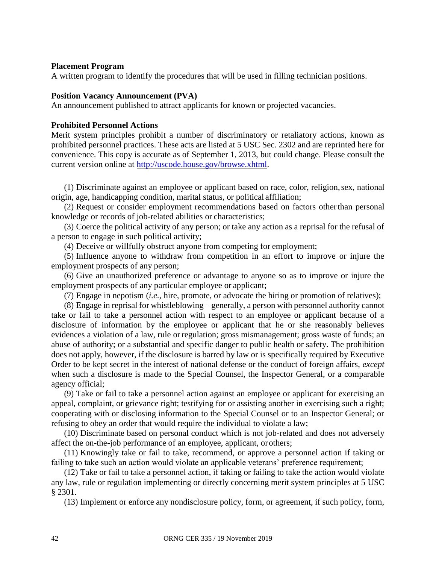#### **Placement Program**

A written program to identify the procedures that will be used in filling technician positions.

#### **Position Vacancy Announcement (PVA)**

An announcement published to attract applicants for known or projected vacancies.

#### **Prohibited Personnel Actions**

Merit system principles prohibit a number of discriminatory or retaliatory actions, known as prohibited personnel practices. These acts are listed at 5 USC Sec. 2302 and are reprinted here for convenience. This copy is accurate as of September 1, 2013, but could change. Please consult the current version online at [http://uscode.house.gov/browse.xhtml.](http://uscode.house.gov/browse.xhtml)

(1) Discriminate against an employee or applicant based on race, color, religion,sex, national origin, age, handicapping condition, marital status, or political affiliation;

(2) Request or consider employment recommendations based on factors otherthan personal knowledge or records of job-related abilities or characteristics;

(3) Coerce the political activity of any person; or take any action as a reprisal for the refusal of a person to engage in such political activity;

(4) Deceive or willfully obstruct anyone from competing for employment;

(5) Influence anyone to withdraw from competition in an effort to improve or injure the employment prospects of any person;

(6) Give an unauthorized preference or advantage to anyone so as to improve or injure the employment prospects of any particular employee or applicant;

(7) Engage in nepotism (*i.e.*, hire, promote, or advocate the hiring or promotion of relatives);

(8) Engage in reprisal for whistleblowing – generally, a person with personnel authority cannot take or fail to take a personnel action with respect to an employee or applicant because of a disclosure of information by the employee or applicant that he or she reasonably believes evidences a violation of a law, rule or regulation; gross mismanagement; gross waste of funds; an abuse of authority; or a substantial and specific danger to public health or safety. The prohibition does not apply, however, if the disclosure is barred by law or is specifically required by Executive Order to be kept secret in the interest of national defense or the conduct of foreign affairs, *except*  when such a disclosure is made to the Special Counsel, the Inspector General, or a comparable agency official;

(9) Take or fail to take a personnel action against an employee or applicant for exercising an appeal, complaint, or grievance right; testifying for or assisting another in exercising such a right; cooperating with or disclosing information to the Special Counsel or to an Inspector General; or refusing to obey an order that would require the individual to violate a law;

(10) Discriminate based on personal conduct which is not job-related and does not adversely affect the on-the-job performance of an employee, applicant, orothers;

(11) Knowingly take or fail to take, recommend, or approve a personnel action if taking or failing to take such an action would violate an applicable veterans' preference requirement;

(12) Take or fail to take a personnel action, if taking or failing to take the action would violate any law, rule or regulation implementing or directly concerning merit system principles at 5 USC § 2301.

(13) Implement or enforce any nondisclosure policy, form, or agreement, if such policy, form,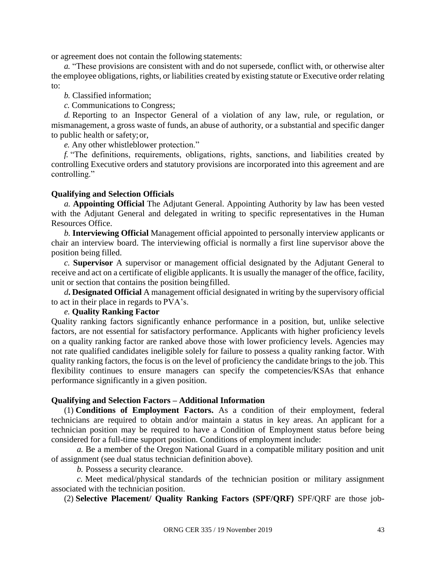or agreement does not contain the following statements:

*a.* "These provisions are consistent with and do not supersede, conflict with, or otherwise alter the employee obligations, rights, or liabilities created by existing statute or Executive order relating to:

*b.* Classified information;

*c.* Communications to Congress;

*d.* Reporting to an Inspector General of a violation of any law, rule, or regulation, or mismanagement, a gross waste of funds, an abuse of authority, or a substantial and specific danger to public health or safety;or,

*e.* Any other whistleblower protection."

*f.* "The definitions, requirements, obligations, rights, sanctions, and liabilities created by controlling Executive orders and statutory provisions are incorporated into this agreement and are controlling."

#### **Qualifying and Selection Officials**

*a.* **Appointing Official** The Adjutant General. Appointing Authority by law has been vested with the Adjutant General and delegated in writing to specific representatives in the Human Resources Office.

*b.* **Interviewing Official** Management official appointed to personally interview applicants or chair an interview board. The interviewing official is normally a first line supervisor above the position being filled.

*c.* **Supervisor** A supervisor or management official designated by the Adjutant General to receive and act on a certificate of eligible applicants. It is usually the manager of the office, facility, unit or section that contains the position beingfilled.

*d***. Designated Official** A management official designated in writing by the supervisory official to act in their place in regards to PVA's.

#### *e.* **Quality Ranking Factor**

Quality ranking factors significantly enhance performance in a position, but, unlike selective factors, are not essential for satisfactory performance. Applicants with higher proficiency levels on a quality ranking factor are ranked above those with lower proficiency levels. Agencies may not rate qualified candidates ineligible solely for failure to possess a quality ranking factor. With quality ranking factors, the focus is on the level of proficiency the candidate brings to the job. This flexibility continues to ensure managers can specify the competencies/KSAs that enhance performance significantly in a given position.

#### **Qualifying and Selection Factors – Additional Information**

(1) **Conditions of Employment Factors.** As a condition of their employment, federal technicians are required to obtain and/or maintain a status in key areas. An applicant for a technician position may be required to have a Condition of Employment status before being considered for a full-time support position. Conditions of employment include:

*a.* Be a member of the Oregon National Guard in a compatible military position and unit of assignment (see dual status technician definition above).

*b.* Possess a security clearance.

*c.* Meet medical/physical standards of the technician position or military assignment associated with the technician position.

(2) **Selective Placement/ Quality Ranking Factors (SPF/QRF)** SPF/QRF are those job-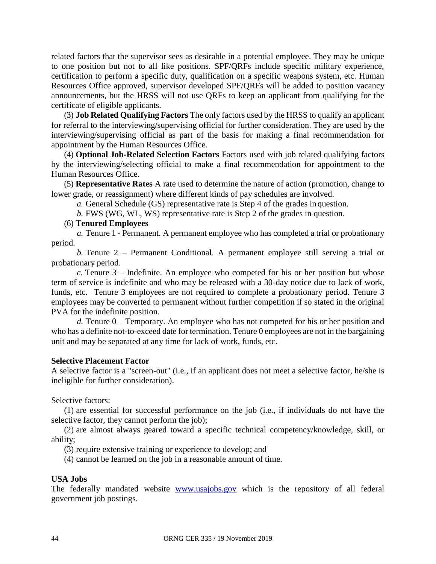related factors that the supervisor sees as desirable in a potential employee. They may be unique to one position but not to all like positions. SPF/QRFs include specific military experience, certification to perform a specific duty, qualification on a specific weapons system, etc. Human Resources Office approved, supervisor developed SPF/QRFs will be added to position vacancy announcements, but the HRSS will not use QRFs to keep an applicant from qualifying for the certificate of eligible applicants.

(3) **Job Related Qualifying Factors** The only factors used by the HRSS to qualify an applicant for referral to the interviewing/supervising official for further consideration. They are used by the interviewing/supervising official as part of the basis for making a final recommendation for appointment by the Human Resources Office.

(4) **Optional Job-Related Selection Factors** Factors used with job related qualifying factors by the interviewing/selecting official to make a final recommendation for appointment to the Human Resources Office.

(5) **Representative Rates** A rate used to determine the nature of action (promotion, change to lower grade, or reassignment) where different kinds of pay schedules are involved.

*a.* General Schedule (GS) representative rate is Step 4 of the grades in question.

*b.* FWS (WG, WL, WS) representative rate is Step 2 of the grades in question.

#### (6) **Tenured Employees**

*a.* Tenure 1 - Permanent. A permanent employee who has completed a trial or probationary period.

*b.* Tenure 2 – Permanent Conditional. A permanent employee still serving a trial or probationary period.

*c.* Tenure 3 – Indefinite. An employee who competed for his or her position but whose term of service is indefinite and who may be released with a 30-day notice due to lack of work, funds, etc. Tenure 3 employees are not required to complete a probationary period. Tenure 3 employees may be converted to permanent without further competition if so stated in the original PVA for the indefinite position.

*d.* Tenure 0 – Temporary. An employee who has not competed for his or her position and who has a definite not-to-exceed date for termination. Tenure 0 employees are not in the bargaining unit and may be separated at any time for lack of work, funds, etc.

#### **Selective Placement Factor**

A selective factor is a "screen-out" (i.e., if an applicant does not meet a selective factor, he/she is ineligible for further consideration).

Selective factors:

(1) are essential for successful performance on the job (i.e., if individuals do not have the selective factor, they cannot perform the job);

(2) are almost always geared toward a specific technical competency/knowledge, skill, or ability;

(3) require extensive training or experience to develop; and

(4) cannot be learned on the job in a reasonable amount of time.

#### **USA Jobs**

The federally mandated website [www.usajobs.gov](http://www.usajobs.gov/) which is the repository of all federal government job postings.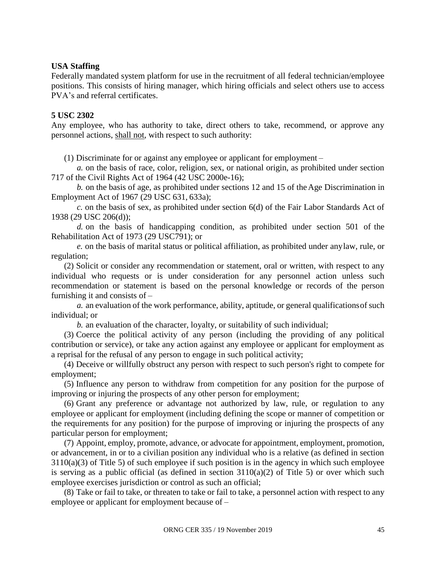#### **USA Staffing**

Federally mandated system platform for use in the recruitment of all federal technician/employee positions. This consists of hiring manager, which hiring officials and select others use to access PVA's and referral certificates.

#### **5 USC 2302**

Any employee, who has authority to take, direct others to take, recommend, or approve any personnel actions, shall not, with respect to such authority:

(1) Discriminate for or against any employee or applicant for employment –

*a.* on the basis of race, color, religion, sex, or national origin, as prohibited under section 717 of the Civil Rights Act of 1964 (42 USC 2000e-16);

*b.* on the basis of age, as prohibited under sections 12 and 15 of theAge Discrimination in Employment Act of 1967 (29 USC 631, 633a);

*c.* on the basis of sex, as prohibited under section 6(d) of the Fair Labor Standards Act of 1938 (29 USC 206(d));

*d.* on the basis of handicapping condition, as prohibited under section 501 of the Rehabilitation Act of 1973 (29 USC791); or

*e.* on the basis of marital status or political affiliation, as prohibited under anylaw, rule, or regulation;

(2) Solicit or consider any recommendation or statement, oral or written, with respect to any individual who requests or is under consideration for any personnel action unless such recommendation or statement is based on the personal knowledge or records of the person furnishing it and consists of –

*a.* an evaluation of the work performance, ability, aptitude, or general qualificationsof such individual; or

*b.* an evaluation of the character, loyalty, or suitability of such individual;

(3) Coerce the political activity of any person (including the providing of any political contribution or service), or take any action against any employee or applicant for employment as a reprisal for the refusal of any person to engage in such political activity;

(4) Deceive or willfully obstruct any person with respect to such person's right to compete for employment;

(5) Influence any person to withdraw from competition for any position for the purpose of improving or injuring the prospects of any other person for employment;

(6) Grant any preference or advantage not authorized by law, rule, or regulation to any employee or applicant for employment (including defining the scope or manner of competition or the requirements for any position) for the purpose of improving or injuring the prospects of any particular person for employment;

(7) Appoint, employ, promote, advance, or advocate for appointment, employment, promotion, or advancement, in or to a civilian position any individual who is a relative (as defined in section 3110(a)(3) of Title 5) of such employee if such position is in the agency in which such employee is serving as a public official (as defined in section  $3110(a)(2)$  of Title 5) or over which such employee exercises jurisdiction or control as such an official;

(8) Take or fail to take, or threaten to take or fail to take, a personnel action with respect to any employee or applicant for employment because of –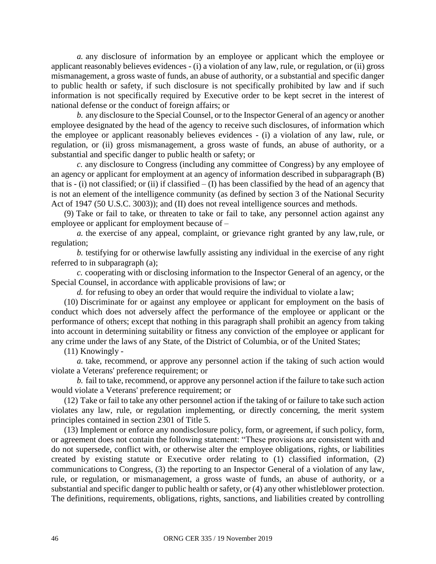*a.* any disclosure of information by an employee or applicant which the employee or applicant reasonably believes evidences - (i) a violation of any law, rule, or regulation, or (ii) gross mismanagement, a gross waste of funds, an abuse of authority, or a substantial and specific danger to public health or safety, if such disclosure is not specifically prohibited by law and if such information is not specifically required by Executive order to be kept secret in the interest of national defense or the conduct of foreign affairs; or

*b.* any disclosure to the Special Counsel, or to the Inspector General of an agency or another employee designated by the head of the agency to receive such disclosures, of information which the employee or applicant reasonably believes evidences - (i) a violation of any law, rule, or regulation, or (ii) gross mismanagement, a gross waste of funds, an abuse of authority, or a substantial and specific danger to public health or safety; or

*c.* any disclosure to Congress (including any committee of Congress) by any employee of an agency or applicant for employment at an agency of information described in subparagraph (B) that is  $-$  (i) not classified; or (ii) if classified  $-$  (I) has been classified by the head of an agency that is not an element of the intelligence community (as defined by section 3 of the National Security Act of 1947 (50 U.S.C. 3003)); and (II) does not reveal intelligence sources and methods.

(9) Take or fail to take, or threaten to take or fail to take, any personnel action against any employee or applicant for employment because of –

*a.* the exercise of any appeal, complaint, or grievance right granted by any law,rule, or regulation;

*b.* testifying for or otherwise lawfully assisting any individual in the exercise of any right referred to in subparagraph (a);

*c.* cooperating with or disclosing information to the Inspector General of an agency, or the Special Counsel, in accordance with applicable provisions of law; or

*d.* for refusing to obey an order that would require the individual to violate a law;

(10) Discriminate for or against any employee or applicant for employment on the basis of conduct which does not adversely affect the performance of the employee or applicant or the performance of others; except that nothing in this paragraph shall prohibit an agency from taking into account in determining suitability or fitness any conviction of the employee or applicant for any crime under the laws of any State, of the District of Columbia, or of the United States;

(11) Knowingly -

*a.* take, recommend, or approve any personnel action if the taking of such action would violate a Veterans' preference requirement; or

*b.* fail to take, recommend, or approve any personnel action if the failure to take such action would violate a Veterans' preference requirement; or

(12) Take or fail to take any other personnel action if the taking of or failure to take such action violates any law, rule, or regulation implementing, or directly concerning, the merit system principles contained in section 2301 of Title 5.

(13) Implement or enforce any nondisclosure policy, form, or agreement, if such policy, form, or agreement does not contain the following statement: "These provisions are consistent with and do not supersede, conflict with, or otherwise alter the employee obligations, rights, or liabilities created by existing statute or Executive order relating to (1) classified information, (2) communications to Congress, (3) the reporting to an Inspector General of a violation of any law, rule, or regulation, or mismanagement, a gross waste of funds, an abuse of authority, or a substantial and specific danger to public health or safety, or (4) any other whistleblower protection. The definitions, requirements, obligations, rights, sanctions, and liabilities created by controlling